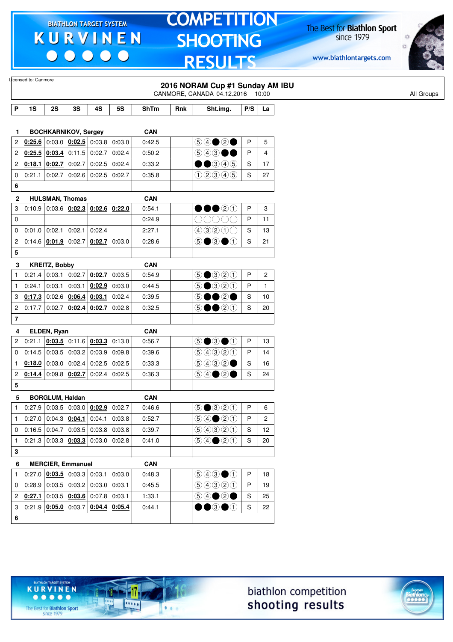$\begin{array}{c|c|c|c|c} \hline \bullet & \bullet & \bullet & \bullet & \bullet \end{array}$ 

# **TOMPETITION SHOOTING RESULTS**

The Best for **Biathlon Sport**<br>since 1979

www.biathlontargets.com



| Licensed to: Canmore |                 |                        |                                                             |                 |                 |                      |     | 2016 NORAM Cup #1 Sunday AM IBU<br>CANMORE, CANADA 04.12.2016 10:00 |     |                |  |
|----------------------|-----------------|------------------------|-------------------------------------------------------------|-----------------|-----------------|----------------------|-----|---------------------------------------------------------------------|-----|----------------|--|
| P                    | 1S              | 2S                     | 3S                                                          | 4S              | 5S              | <b>ShTm</b>          | Rnk | Sht.img.                                                            | P/S | La             |  |
| 1                    |                 |                        | <b>BOCHKARNIKOV, Sergey</b>                                 |                 |                 | <b>CAN</b>           |     |                                                                     |     |                |  |
| 2                    | 0:25.6          |                        | $0.03.0$ $0.02.5$ 0.03.8 0.03.0                             |                 |                 | 0:42.5               |     |                                                                     | P   | 5              |  |
| $\overline{c}$       | 0:25.5          | 0:03.4                 | $0:11.5$ 0:02.7                                             |                 | 0:02.4          | 0:50.2               |     | $\circledcirc\circledcirc\bullet\bullet$                            | P   | 4              |  |
| 2                    |                 | 0.18.1   0.02.7        | $0:02.7$ 0:02.5                                             |                 | 0:02.4          | 0:33.2               |     | $\bullet$ 345                                                       | S   | 17             |  |
| 0                    | 0:21.1          | 0:02.7                 | $0:02.6$ 0:02.5                                             |                 | 0:02.7          | 0:35.8               |     | (100000)                                                            | S   | 27             |  |
| 6                    |                 |                        |                                                             |                 |                 |                      |     |                                                                     |     |                |  |
|                      |                 |                        |                                                             |                 |                 |                      |     |                                                                     |     |                |  |
| $\mathbf{2}$<br>3    | 0:10.9          |                        | <b>HULSMAN, Thomas</b><br>0.03.6   0.02.3   0.02.6   0.22.0 |                 |                 | <b>CAN</b><br>0:54.1 |     | 00020                                                               | P   | 3              |  |
| 0                    |                 |                        |                                                             |                 |                 | 0:24.9               |     |                                                                     | P   | 11             |  |
| $\mathbf 0$          | $0:01.0$ 0:02.1 |                        | 0:02.1                                                      | 0:02.4          |                 | 2:27.1               |     | 400000                                                              | S   | 13             |  |
| 2                    |                 | 0:14.6   0:01.9        | 0:02.7                                                      |                 | $0.02.7$ 0:03.0 | 0:28.6               |     | $\circledcirc$ $\bullet$ $\circledcirc$                             | S   | 21             |  |
| 5                    |                 |                        |                                                             |                 |                 |                      |     |                                                                     |     |                |  |
| 3                    |                 | <b>KREITZ, Bobby</b>   |                                                             |                 |                 | <b>CAN</b>           |     |                                                                     |     |                |  |
| $\mathbf{1}$         | 0:21.4          | 0:03.1                 | $0:02.7$ 0:02.7                                             |                 | 0:03.5          | 0:54.9               |     | $\bigcirc$ $\bigcirc$ $\bigcirc$ $\bigcirc$ $\bigcirc$              | P   | $\overline{c}$ |  |
| $\mathbf{1}$         | 0:24.1          | 0:03.1                 | 0:03.1                                                      | 0:02.9          | 0:03.0          | 0:44.5               |     | $\bigcirc$ $\bigcirc$ $\bigcirc$ $\bigcirc$ $\bigcirc$              | P   | $\mathbf{1}$   |  |
| 3                    |                 |                        | $0:17.3$ 0:02.6 0:06.4                                      | 0:03.1          | 0:02.4          | 0:39.5               |     | 5●●2●                                                               | S   | 10             |  |
| $\overline{c}$       | 0:17.7          | 0:02.7                 |                                                             | $0:02.4$ 0:02.7 | 0:02.8          | 0:32.5               |     | $\circledcirc \bullet \bullet \circledcirc \circledcirc$            | S   | 20             |  |
| $\overline{7}$       |                 |                        |                                                             |                 |                 |                      |     |                                                                     |     |                |  |
| 4                    |                 | ELDEN, Ryan            |                                                             |                 |                 | <b>CAN</b>           |     |                                                                     |     |                |  |
| 2                    | 0:21.1          |                        | $0.03.5$ 0:11.6 $0.03.3$ 0:13.0                             |                 |                 | 0:56.7               |     | $\odot$ $\odot$ $\odot$                                             | P   | 13             |  |
| 0                    |                 |                        | $0.14.5$ 0.03.5 0.03.2 0.03.9                               |                 | 0.09.8          | 0:39.6               |     | 99900                                                               | P   | 14             |  |
| $\mathbf{1}$         | 0:18.0          | 0:03.0                 | 0:02.4                                                      | 0:02.5          | 0:02.5          | 0:33.3               |     | 9932                                                                | S   | 16             |  |
| $\overline{c}$       | 0:14.4          |                        | $0:09.8$ 0:02.7                                             | 0:02.4          | 0:02.5          | 0:36.3               |     |                                                                     | S   | 24             |  |
| 5                    |                 |                        |                                                             |                 |                 |                      |     |                                                                     |     |                |  |
| 5                    |                 | <b>BORGLUM, Haldan</b> |                                                             |                 |                 | <b>CAN</b>           |     |                                                                     |     |                |  |
| $\mathbf{1}$         |                 |                        | $0.27.9$ 0.03.5 0.03.0 0.02.9 0.02.7                        |                 |                 | 0:46.6               |     | $\odot$ $\odot$ $\odot$ $\odot$ $\odot$                             | P   | 6              |  |
| $\mathbf{1}$         |                 |                        | $0.27.0$ 0.04.3 $0.04.1$ 0.04.1 0.03.8                      |                 |                 | 0:52.7               |     | $\bigcirc \bigcirc \bigcirc \bigcirc \bigcirc \bigcirc \bigcirc$    | P   | 2              |  |
| 0                    |                 |                        | $0.16.5$ 0.04.7 0.03.5 0.03.8 0.03.8                        |                 |                 | 0:39.7               |     | 9990                                                                | S   | 12             |  |
| $\mathbf{1}$         |                 |                        | $0:21.3$ 0:03.3 $0:03.3$ 0:03.3 0:03.0 0:02.8               |                 |                 | 0:41.0               |     | $\bigcirc \bigcirc \bigcirc \bigcirc \bigcirc \bigcirc \bigcirc$    | S   | 20             |  |
| 3                    |                 |                        |                                                             |                 |                 |                      |     |                                                                     |     |                |  |
| 6                    |                 |                        | <b>MERCIER, Emmanuel</b>                                    |                 |                 | <b>CAN</b>           |     |                                                                     |     |                |  |
| $\mathbf{1}$         |                 |                        | $0.27.0$ $0.03.5$ 0.03.3 0.03.1                             |                 | 0:03.0          | 0:48.3               |     | $\bigcirc$ $\bigcirc$ $\bigcirc$ $\bigcirc$                         | P   | 18             |  |
| 0                    |                 |                        | $0.28.9$ 0.03.5 0.03.2 0.03.0 0.03.1                        |                 |                 | 0:45.5               |     | 99900                                                               | P   | 19             |  |
| $\overline{2}$       |                 |                        | $0.27.1$ 0.03.5 $0.03.6$ 0.07.8 0.03.1                      |                 |                 | 1:33.1               |     |                                                                     | S   | 25             |  |
| 3                    |                 |                        | $0:21.9$ $0:05.0$ 0:03.7 0:04.4 0:05.4                      |                 |                 | 0:44.1               |     | $\bullet\bullet$ 3 $\bullet\circ$                                   | S   | 22             |  |
| 6                    |                 |                        |                                                             |                 |                 |                      |     |                                                                     |     |                |  |

biathlon competition shooting results



The Best for **Biathlon Sport**<br>since 1979

TARGET SYSTEM

17

11111

 $1.1.1$ 

**KURVINEN**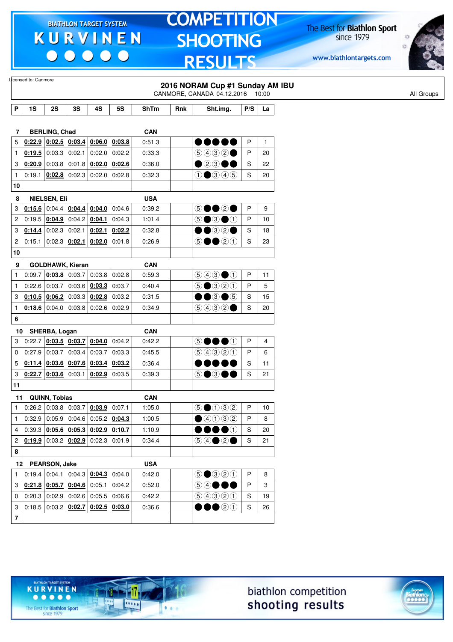$\begin{array}{c|c|c|c|c} \hline \bullet & \bullet & \bullet & \bullet & \bullet \end{array}$ 

# **TOMPETITION SHOOTING RESULTS**

The Best for **Biathlon Sport**<br>since 1979

www.biathlontargets.com



|                | Licensed to: Canmore<br>2016 NORAM Cup #1 Sunday AM IBU                    |                                     |    |                                              |           |             |     |                                                        |     |                         |
|----------------|----------------------------------------------------------------------------|-------------------------------------|----|----------------------------------------------|-----------|-------------|-----|--------------------------------------------------------|-----|-------------------------|
|                |                                                                            |                                     |    |                                              |           |             |     | CANMORE, CANADA 04.12.2016 10:00                       |     |                         |
| P              | 1S                                                                         | 2S                                  | 3S | 4S                                           | <b>5S</b> | <b>ShTm</b> | Rnk | Sht.img.                                               | P/S | La                      |
|                |                                                                            |                                     |    |                                              |           |             |     |                                                        |     |                         |
| 7              |                                                                            | <b>BERLING, Chad</b>                |    |                                              |           | <b>CAN</b>  |     |                                                        |     |                         |
| 5              |                                                                            | $0:22.9$ 0:02.5 0:03.4              |    | 0:06.0                                       | 0:03.8    | 0:51.3      |     | ,,,,,,                                                 | P   | $\mathbf{1}$            |
| 1              |                                                                            | $0:19.5$ 0:03.3 0:02.1              |    | 0.02.0                                       | 0:02.2    | 0:33.3      |     | (5)4)32                                                | P   | 20                      |
| 3              | 0:20.9                                                                     | $0:03.8$ 0:01.8                     |    | 0:02.0                                       | 0:02.6    | 0:36.0      |     | $\bullet$ 23(                                          | S   | 22                      |
| $\mathbf{1}$   | 0:19.1                                                                     | $0:02.8$ 0:02.3                     |    | 0.02.0                                       | 0:02.8    | 0:32.3      |     | $\bigcirc$ $\bigcirc$ $\bigcirc$ $\bigcirc$ $\bigcirc$ | S   | 20                      |
| 10             |                                                                            |                                     |    |                                              |           |             |     |                                                        |     |                         |
| 8              |                                                                            | NIELSEN, Eli                        |    |                                              |           | <b>USA</b>  |     |                                                        |     |                         |
| 3              |                                                                            | $0.15.6$ 0:04.4 0:04.4              |    | 0:04.0                                       | 0.04.6    | 0:39.2      |     | 5●●2●                                                  | P   | 9                       |
| $\overline{c}$ |                                                                            | $0:19.5$ $0:04.9$ $0:04.2$ $0:04.1$ |    |                                              | 0:04.3    | 1:01.4      |     | $\circledcirc$ $\bullet$ $\circledcirc$                | P   | 10                      |
| 3              | 0:14.4                                                                     | $0:02.3$ 0:02.1                     |    | 0:02.1                                       | 0:02.2    | 0:32.8      |     | ●●③②●                                                  | S   | 18                      |
| $\overline{c}$ | 0:15.1                                                                     | $0:02.3$ 0:02.1                     |    | 0:02.0                                       | 0.01.8    | 0:26.9      |     | 5●●2①                                                  | S   | 23                      |
| 10             |                                                                            |                                     |    |                                              |           |             |     |                                                        |     |                         |
| 9              |                                                                            | <b>GOLDHAWK, Kieran</b>             |    |                                              |           | <b>CAN</b>  |     |                                                        |     |                         |
| $\mathbf{1}$   | 0:09.7                                                                     | $0:03.8$ 0:03.7                     |    | 0:03.8                                       | 0:02.8    | 0:59.3      |     | $\bigcirc$ $\bigcirc$ $\bigcirc$ $\bigcirc$            | P   | 11                      |
| $\mathbf{1}$   |                                                                            |                                     |    | 0.22.6   0.03.7   0.03.6   0.03.3            | 0:03.7    | 0:40.4      |     | $\bigcirc$ $\bigcirc$ $\bigcirc$ $\bigcirc$ $\bigcirc$ | P   | 5                       |
| 3              |                                                                            |                                     |    | $0:10.5$ $0:06.2$ 0:03.3 0:02.8              | 0:03.2    | 0:31.5      |     | ••3•5                                                  | S   | 15                      |
| $\mathbf{1}$   |                                                                            |                                     |    | $0.18.6$ 0:04.0 0:03.8 0:02.6                | 0:02.9    | 0:34.9      |     | 90000                                                  | S   | 20                      |
| 6              |                                                                            |                                     |    |                                              |           |             |     |                                                        |     |                         |
| 10             |                                                                            | SHERBA, Logan                       |    |                                              |           | <b>CAN</b>  |     |                                                        |     |                         |
| 3              |                                                                            | $0:22.7$ 0:03.5 0:03.7              |    | 0:04.0                                       | 0:04.2    | 0:42.2      |     | DOOO<br>$\circledS$                                    | P   | $\overline{\mathbf{4}}$ |
| 0              |                                                                            | $0:27.9$ 0:03.7 0:03.4              |    | 0:03.7                                       | 0:03.3    | 0:45.5      |     | 9990                                                   | P   | 6                       |
| 5              |                                                                            | $0:11.4$ 0:03.6 0:07.6              |    | 0:03.4                                       | 0:03.2    | 0:36.4      |     |                                                        | S   | 11                      |
| 3              | 0:22.7                                                                     | $0:03.6$ 0:03.1                     |    | 0:02.9                                       | 0:03.5    | 0:39.3      |     | 5●3●●                                                  | S   | 21                      |
| 11             |                                                                            |                                     |    |                                              |           |             |     |                                                        |     |                         |
|                |                                                                            |                                     |    |                                              |           |             |     |                                                        |     |                         |
| 11             |                                                                            | QUINN, Tobias                       |    | $0.26.2$ 0.03.8 0.03.7 0.03.9 0.07.1         |           | <b>CAN</b>  |     |                                                        |     |                         |
| $\mathbf{1}$   |                                                                            |                                     |    |                                              |           | 1:05.0      |     | $\odot$ $\odot$ $\odot$ $\odot$ $\odot$                | P   | 10                      |
| $\mathbf{1}$   |                                                                            |                                     |    | $0.32.9$ 0.05.9 0.04.6 0.05.2 0.04.3         |           | 1:00.5      |     | $\bigcirc$ 40032                                       | P   | 8                       |
|                | 4 0:39.3 0:05.6 0:05.3 0:02.9 0:10.7                                       |                                     |    |                                              |           | 1:10.9      |     | $\bullet\bullet\bullet\circ$                           | S   | 20                      |
|                | 2 $0:19.9$ 0:03.2 $0:02.9$ 0:02.3 0:01.9                                   |                                     |    |                                              |           | 0:34.4      |     | $\circledcirc \circ \bullet \circ \bullet$             | S   | 21                      |
| 8              |                                                                            |                                     |    |                                              |           |             |     |                                                        |     |                         |
|                | 12 PEARSON, Jake                                                           |                                     |    |                                              |           | <b>USA</b>  |     |                                                        |     |                         |
| $\mathbf{1}$   |                                                                            |                                     |    | 0.19.4   0.04.1   0.04.3   0.04.3            | 0:04.0    | 0:42.0      |     | $\odot$ $\odot$ $\odot$ $\odot$ $\odot$                | P   | 8                       |
|                | 3 $\vert$ 0:21.8 $\vert$ 0:05.7 $\vert$ 0:04.6 $\vert$ 0:05.1              |                                     |    |                                              | 0:04.2    | 0:52.0      |     | 64●●●                                                  | P   | 3                       |
| 0              | $\vert$ 0:20.3 $\vert$ 0:02.9 $\vert$ 0:02.6 $\vert$ 0:05.5 $\vert$ 0:06.6 |                                     |    |                                              |           | 0:42.2      |     | 99900                                                  | S   | 19                      |
| 3              |                                                                            |                                     |    | $0:18.5   0:03.2   0:02.7   0:02.5   0:03.0$ |           | 0:36.6      |     | $\bullet\bullet$ 20                                    | S   | 26                      |
| $\overline{7}$ |                                                                            |                                     |    |                                              |           |             |     |                                                        |     |                         |





The Best for **Biathlon Sport**<br>since 1979

TARGET SYSTEM

-17

 $\overline{\cdots}$ 

 $1.1.1$ 

**KURVINEN**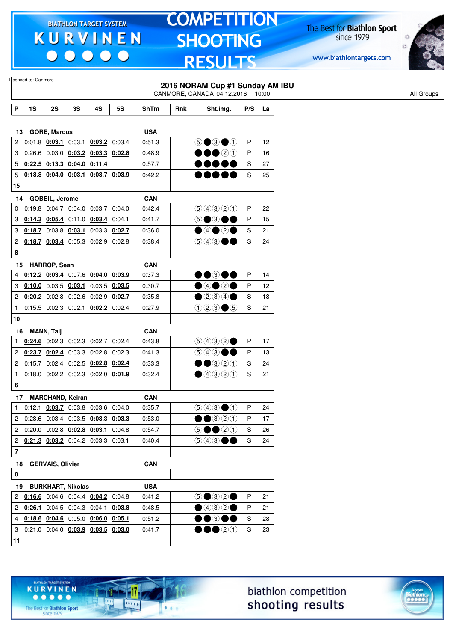$\begin{array}{c|c} \bullet & \bullet & \bullet & \bullet \end{array}$ 

### **TOMPETITION SHOOTING RESULTS**

The Best for **Biathlon Sport**<br>since 1979

www.biathlontargets.com



|                | Licensed to: Canmore |                         |                                     |                                                                                     |                 |             |     | 2016 NORAM Cup #1 Sunday AM IBU                          |     |    |
|----------------|----------------------|-------------------------|-------------------------------------|-------------------------------------------------------------------------------------|-----------------|-------------|-----|----------------------------------------------------------|-----|----|
|                |                      |                         |                                     |                                                                                     |                 |             |     | CANMORE, CANADA 04.12.2016 10:00                         |     |    |
| P              | 1S                   | 2S                      | 3S                                  | 4S                                                                                  | <b>5S</b>       | <b>ShTm</b> | Rnk | Sht.img.                                                 | P/S | La |
|                |                      |                         |                                     |                                                                                     |                 |             |     |                                                          |     |    |
| 13             |                      | <b>GORE, Marcus</b>     |                                     |                                                                                     |                 | <b>USA</b>  |     |                                                          |     |    |
| $\overline{2}$ |                      | $0.01.8$ 0.03.1         | 0:03.1                              | 0:03.2                                                                              | 0:03.4          | 0:51.3      |     | $\odot$ $\odot$ $\odot$ $\odot$                          | P   | 12 |
| 3              |                      | 0:26.6 0:03.0           | 0:03.2                              | 0:03.3                                                                              | 0:02.8          | 0:48.9      |     | 00 20                                                    | P   | 16 |
| 5              |                      |                         | $0.22.5$   0:13.3   0:04.0   0:11.4 |                                                                                     |                 | 0:57.7      |     | ,,,,,                                                    | S   | 27 |
| 5              |                      | $0:18.8$ 0:04.0 0:03.1  |                                     |                                                                                     | $0:03.7$ 0:03.9 | 0:42.2      |     | ,,,,,                                                    | S   | 25 |
| 15             |                      |                         |                                     |                                                                                     |                 |             |     |                                                          |     |    |
| 14             |                      | GOBEIL, Jerome          |                                     |                                                                                     |                 | <b>CAN</b>  |     |                                                          |     |    |
| $\mathbf 0$    |                      | $0:19.8$ 0:04.7         | 0:04.0                              | 0:03.7                                                                              | 0:04.0          | 0:42.4      |     | 9990                                                     | P   | 22 |
| 3              |                      | $0:14.3$ 0:05.4         |                                     | $0:11.0$ 0:03.4                                                                     | 0:04.1          | 0:41.7      |     | 5●3●●                                                    | P   | 15 |
| 3              |                      | $0.18.7$ 0:03.8 0:03.1  |                                     | 0:03.3                                                                              | 0:02.7          | 0:36.0      |     | $\bigcirc$ 4020                                          | S   | 21 |
| $\mathbf{2}$   | 0:18.7               | 0:03.4                  | 0:05.3                              | 0:02.9                                                                              | 0:02.8          | 0:38.4      |     | $\circledcirc$ 4300                                      | S   | 24 |
| 8              |                      |                         |                                     |                                                                                     |                 |             |     |                                                          |     |    |
| 15             |                      | HARROP, Sean            |                                     |                                                                                     |                 | <b>CAN</b>  |     |                                                          |     |    |
| 4              |                      |                         |                                     | 0.12.2   0.03.4   0.07.6   0.04.0                                                   | 0:03.9          | 0:37.3      |     | $\bullet\bullet$ 300                                     | P   | 14 |
| 3              |                      | $0:10.0$ 0:03.5 0:03.1  |                                     | 0:03.5                                                                              | 0:03.5          | 0:30.7      |     | $\bigcirc$ 4020                                          | P   | 12 |
| 2              |                      |                         | $0.20.2$ 0:02.8 0:02.6              | 0:02.9                                                                              | 0:02.7          | 0:35.8      |     | $\bullet$ 234 $\bullet$                                  | S   | 18 |
| $\mathbf{1}$   |                      | $0:15.5$ 0:02.3 0:02.1  |                                     | 0:02.2                                                                              | 0:02.4          | 0:27.9      |     | $023 \bullet 5$                                          | S   | 21 |
| 10             |                      |                         |                                     |                                                                                     |                 |             |     |                                                          |     |    |
|                |                      |                         |                                     |                                                                                     |                 |             |     |                                                          |     |    |
| 16             |                      | <b>MANN, Taij</b>       |                                     |                                                                                     |                 | <b>CAN</b>  |     |                                                          |     |    |
| 1              |                      | $0:24.6$ 0:02.3         | 0:02.3                              | 0:02.7                                                                              | 0:02.4          | 0:43.8      |     | 9932                                                     | P   | 17 |
| $\overline{2}$ |                      | $0:23.7$ 0:02.4         |                                     | $0:03.3$ 0:02.8                                                                     | 0:02.3          | 0:41.3      |     | 900                                                      | P   | 13 |
| $\overline{2}$ |                      | 0:15.7 0:02.4           | 0:02.5                              | 0:02.8                                                                              | 0:02.4          | 0:33.3      |     | $\bullet$ 320                                            | S   | 24 |
| $\mathbf{1}$   |                      | $0:18.0$ 0:02.2         | 0:02.3                              | 0:02.0                                                                              | 0:01.9          | 0:32.4      |     | ④④③①                                                     | S   | 21 |
| 6              |                      |                         |                                     |                                                                                     |                 |             |     |                                                          |     |    |
| 17             |                      |                         | <b>MARCHAND, Keiran</b>             |                                                                                     |                 | <b>CAN</b>  |     |                                                          |     |    |
| $\mathbf{1}$   |                      |                         |                                     | $0.12.1$ $0.03.7$ $0.03.8$ $0.03.6$ $0.04.0$                                        |                 | 0:35.7      |     | $\bigcirc \bigcirc \bigcirc \bigcirc \bigcirc \bigcirc$  | P   | 24 |
| 2 <sup>2</sup> |                      |                         |                                     | 0.28.6   0.03.4   0.03.5   0.03.3                                                   | 0:03.3          | 0:53.0      |     | $\bullet\bullet$ 320                                     | P   | 17 |
| 2              |                      |                         |                                     | $0:20.0$ 0:02.8 $0:02.8$ 0:02.8                                                     | 0:04.8          | 0:54.7      |     | $\circledcirc \bullet \bullet \circledcirc \circledcirc$ | S   | 26 |
| 2              |                      |                         |                                     | $0.21.3$ $0.03.2$ 0:04.2 0:03.3 0:03.1                                              |                 | 0:40.4      |     | $\circledcirc$ 4300                                      | S   | 24 |
| $\overline{7}$ |                      |                         |                                     |                                                                                     |                 |             |     |                                                          |     |    |
| 18             |                      | <b>GERVAIS, Olivier</b> |                                     |                                                                                     |                 | <b>CAN</b>  |     |                                                          |     |    |
| $\mathbf 0$    |                      |                         |                                     |                                                                                     |                 |             |     |                                                          |     |    |
| 19             |                      |                         | <b>BURKHART, Nikolas</b>            |                                                                                     |                 | <b>USA</b>  |     |                                                          |     |    |
| 2              |                      |                         |                                     | $0.16.6$ 0.04.6 0.04.4 $0.04.2$                                                     | 0:04.8          | 0:41.2      |     | $\circledcirc \bullet \circledcirc \circ \bullet$        | P   | 21 |
|                |                      |                         |                                     | 2 $\left  0.26.1 \right  0.04.5 \left  0.04.3 \right  0.04.1 \left  0.03.8 \right $ |                 | 0:48.5      |     | $\bigcirc$ 4320                                          | P   | 21 |
| $\overline{4}$ |                      |                         |                                     | 0.18.6   0.04.6   0.05.0   0.06.0                                                   | 0:05.1          | 0:51.2      |     | $\bullet\bullet$ $\bullet\bullet$                        | S   | 28 |
| $3 \mid$       |                      |                         |                                     | $0.21.0   0.04.0   0.03.9   0.03.5   0.03.0$                                        |                 | 0:41.7      |     | $\bullet\bullet\circ\circ$                               | S   | 23 |
|                |                      |                         |                                     |                                                                                     |                 |             |     |                                                          |     |    |
| 11             |                      |                         |                                     |                                                                                     |                 |             |     |                                                          |     |    |





The Best for **Biathlon Sport**<br>since 1979

TARGET SYSTEM

17

.....

 $1.1.1$ 

**KURVINEN**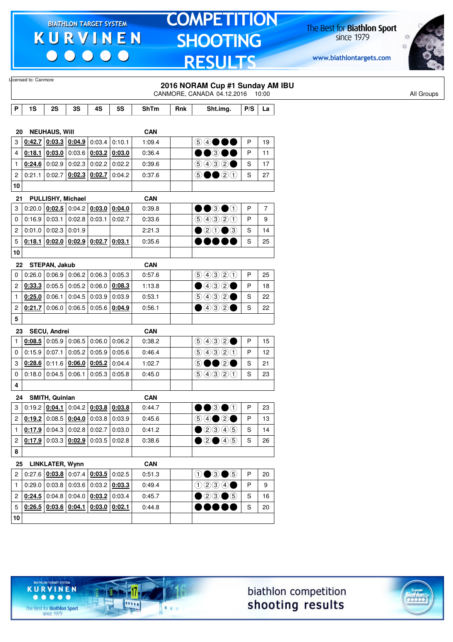$\begin{array}{c|c} \bullet & \bullet & \bullet & \bullet \end{array}$ 

### **TOMPETITION SHOOTING RESULTS**

The Best for **Biathlon Sport**<br>since 1979

www.biathlontargets.com



|              | Licensed to: Canmore |                               |        |                                                                                                                                   |           |             |     |                                   |     |                |            |
|--------------|----------------------|-------------------------------|--------|-----------------------------------------------------------------------------------------------------------------------------------|-----------|-------------|-----|-----------------------------------|-----|----------------|------------|
|              |                      |                               |        |                                                                                                                                   |           |             |     | 2016 NORAM Cup #1 Sunday AM IBU   |     |                |            |
|              |                      |                               |        |                                                                                                                                   |           |             |     | CANMORE, CANADA 04.12.2016 10:00  |     |                | All Groups |
| P            | 1S                   | 2S                            | 3S     | 4S                                                                                                                                | <b>5S</b> | <b>ShTm</b> | Rnk | Sht.img.                          | P/S | La             |            |
|              |                      |                               |        |                                                                                                                                   |           |             |     |                                   |     |                |            |
| 20           |                      | <b>NEUHAUS, Will</b>          |        |                                                                                                                                   |           | <b>CAN</b>  |     |                                   |     |                |            |
| 3            |                      |                               |        | 0.42.7   0.03.3   0.04.9   0.03.4                                                                                                 | 0:10.1    | 1:09.4      |     | 5 4 ● ● ●                         | P   | 19             |            |
| 4            | 0:18.1               | 0:03.0                        |        | $0:03.6$ 0:03.2                                                                                                                   | 0:03.0    | 0:36.4      |     | ●●③●●                             | P   | 11             |            |
| 1            |                      |                               |        | $0.24.6$ 0.02.9 0.02.3 0.02.2 0.02.2                                                                                              |           | 0:39.6      |     | 9032                              | S   | 17             |            |
| 2            | 0:21.1               | 0:02.7                        |        | $0:02.3$ 0:02.7                                                                                                                   | 0:04.2    | 0:37.6      |     | $\odot \bullet \bullet$ 20        | S   | 27             |            |
| 10           |                      |                               |        |                                                                                                                                   |           |             |     |                                   |     |                |            |
| 21           |                      | PULLISHY, Michael             |        |                                                                                                                                   |           | <b>CAN</b>  |     |                                   |     |                |            |
| 3            |                      | 0.20.0   0.02.5               |        | $0:04.2$ 0:03.0                                                                                                                   | 0:04.0    | 0:39.8      |     | $\bullet\bullet$ 3 $\bullet\circ$ | P   | $\overline{7}$ |            |
| 0            |                      | $0.16.9$ 0.03.1 0.02.8 0.03.1 |        |                                                                                                                                   | 0:02.7    | 0:33.6      |     | 99900                             | P   | 9              |            |
| 2            |                      | $0:01.0$ 0:02.3 0:01.9        |        |                                                                                                                                   |           | 2:21.3      |     | $\bullet$ 20 $\bullet$ 3          | S   | 14             |            |
| 5            | 0:18.1               |                               |        | $\vert$ 0:02.0 $\vert$ 0:02.9 $\vert$ 0:02.7 $\vert$ 0:03.1                                                                       |           | 0:35.6      |     |                                   | S   | 25             |            |
| 10           |                      |                               |        |                                                                                                                                   |           |             |     |                                   |     |                |            |
| 22           |                      | STEPAN, Jakub                 |        |                                                                                                                                   |           | <b>CAN</b>  |     |                                   |     |                |            |
| 0            |                      |                               |        | $0.26.0$ 0.06.9 0.06.2 0.06.3                                                                                                     | 0:05.3    | 0.57.6      |     | 90000                             | P   | 25             |            |
| 2            | 0:33.3               | 0:05.5                        |        | $0:05.2$ 0:06.0                                                                                                                   | 0:08.3    | 1:13.8      |     | $\bigcirc$ 432 $\bigcirc$         | P   | 18             |            |
| 1            |                      | $0:25.0$ 0:06.1               | 0:04.5 | 0:03.9                                                                                                                            | 0:03.9    | 0:53.1      |     | (5)(4)(3)(2)                      | S   | 22             |            |
| 2            |                      | 0.21.7 0.06.0                 |        | 0.06.5   0.05.6   0.04.9                                                                                                          |           | 0:56.1      |     | $\bullet$ 432 $\bullet$           | S   | 22             |            |
| 5            |                      |                               |        |                                                                                                                                   |           |             |     |                                   |     |                |            |
| 23           |                      | SECU, Andrei                  |        |                                                                                                                                   |           | <b>CAN</b>  |     |                                   |     |                |            |
| 1            | 0:08.5               |                               |        | $\vert 0.05.9 \vert 0.06.5 \vert 0.06.0$                                                                                          | 0:06.2    | 0:38.2      |     | 9032                              | P   | 15             |            |
| 0            |                      |                               |        | $0.15.9$ 0.07.1 0.05.2 0.05.9                                                                                                     | 0:05.6    | 0:46.4      |     | 9990                              | P   | 12             |            |
| 3            |                      | $0:28.6$ 0:11.6               |        | $0:06.0$ 0:05.2                                                                                                                   | 0:04.4    | 1:02.7      |     | DOQ(<br>$\circledS$               | S   | 21             |            |
| 0            |                      | $0:18.0$ 0:04.5               | 0:06.1 | 0:05.3                                                                                                                            | 0:05.8    | 0:45.0      |     | 99900                             | S   | 23             |            |
| 4            |                      |                               |        |                                                                                                                                   |           |             |     |                                   |     |                |            |
| 24           |                      | SMITH, Quinlan                |        |                                                                                                                                   |           | <b>CAN</b>  |     |                                   |     |                |            |
| 3            |                      |                               |        | $0:19.2$ $0:04.1$ $0:04.2$ $0:03.8$ $0:03.8$                                                                                      |           | 0:44.7      |     | $\bullet\bullet$ 3 $\bullet$ 1    | P   | 23             |            |
|              |                      |                               |        | $2   0:19.2   0:08.5   0:04.0   0:03.8   0:03.9$                                                                                  |           | 0:45.6      |     |                                   | P   | 13             |            |
| $\mathbf{1}$ |                      |                               |        | $0.17.9$ 0:04.3 0:02.8 0:02.7                                                                                                     | 0:03.0    | 0:41.2      |     | $\bigcirc$ 20045                  | S   | 14             |            |
|              |                      |                               |        | $2   0:17.9   0:03.3   0:02.9   0:03.5   0:02.8$                                                                                  |           | 0:38.6      |     | $\bigcirc$ 20 45                  | S   | 26             |            |
| 8            |                      |                               |        |                                                                                                                                   |           |             |     |                                   |     |                |            |
| 25           |                      | LINKLATER, Wynn               |        |                                                                                                                                   |           | <b>CAN</b>  |     |                                   |     |                |            |
| 2            |                      |                               |        | $0.27.6$ $0.03.8$ $0.07.4$ $0.03.5$ 0.02.5                                                                                        |           | 0:51.3      |     | $0 \bullet 3 \bullet 5$           | P   | 20             |            |
| $\mathbf{1}$ |                      |                               |        | $0.29.0   0.03.8   0.03.6   0.03.2   0.03.3$                                                                                      |           | 0:49.4      |     | 0234                              | P   | 9              |            |
|              |                      |                               |        | 2 $\left  \frac{\mathbf{0}:24.5}{\mathbf{0}:04.8} \right $ 0:04.0 $\left  \frac{\mathbf{0}:03.2}{\mathbf{0}:03.4} \right $ 0:03.4 |           | 0:45.7      |     | $\bullet$ 20 $\bullet$ 5          | S   | 16             |            |
| 5            |                      |                               |        | $\vert$ <u>0:26.5 <math>\vert</math> 0:03.6 <math>\vert</math> 0:04.1 <math>\vert</math> 0:03.0 <math>\vert</math> 0:02.1</u>     |           | 0:44.8      |     |                                   | S   | 20             |            |
| 10           |                      |                               |        |                                                                                                                                   |           |             |     |                                   |     |                |            |
|              |                      |                               |        |                                                                                                                                   |           |             |     |                                   |     |                |            |

biathlon competition shooting results



The Best for **Biathlon Sport**<br>since 1979

TARGET SYSTEM

17

.....

 $1.1.1$ 

**KURVINEN**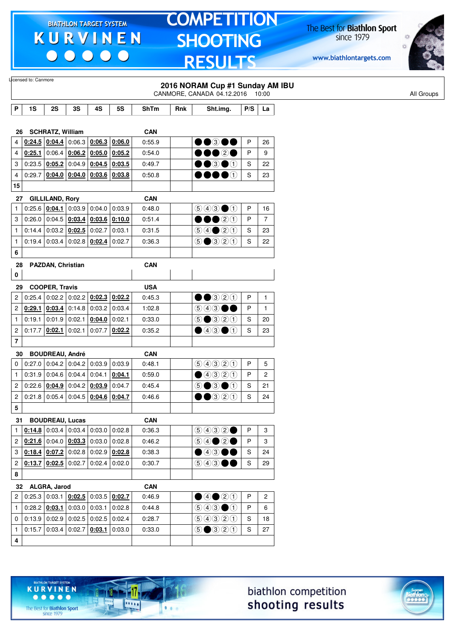$\begin{array}{c|c|c|c|c} \hline \bullet & \bullet & \bullet & \bullet & \bullet \end{array}$ 

# **TOMPETITION SHOOTING RESULTS**

The Best for **Biathlon Sport**<br>since 1979

www.biathlontargets.com



|                         | Licensed to: Canmore |                                              |                 |                                                                            |        |             |     | 2016 NORAM Cup #1 Sunday AM IBU<br>CANMORE, CANADA 04.12.2016 10:00                    |               |                |  |
|-------------------------|----------------------|----------------------------------------------|-----------------|----------------------------------------------------------------------------|--------|-------------|-----|----------------------------------------------------------------------------------------|---------------|----------------|--|
| P                       | 1S                   | 2S                                           | 3S              | 4S                                                                         | 5S     | <b>ShTm</b> | Rnk | Sht.img.                                                                               | P/S           | La             |  |
| 26                      |                      | <b>SCHRATZ, William</b>                      |                 |                                                                            |        | <b>CAN</b>  |     |                                                                                        |               |                |  |
| 4                       | 0:24.5               | 0:04.4                                       |                 | $0:06.3$ 0:06.3                                                            | 0:06.0 | 0:55.9      |     | $\bullet\bullet$ 300                                                                   | $\mathsf{P}$  | 26             |  |
| 4                       | 0:25.1               |                                              |                 | 0.06.4   0.06.2   0.05.0                                                   | 0:05.2 | 0:54.0      |     | ••••                                                                                   | P             | 9              |  |
| 3                       |                      | $0:23.5$ 0:05.2                              | 0:04.9          | 0:04.5                                                                     | 0:03.5 | 0:49.7      |     | $\bullet$ 3 $\bullet$ 1                                                                | S             | 22             |  |
| 4                       |                      |                                              |                 | $0:29.7$ $0:04.0$ $0:04.0$ $0:03.6$ $0:03.8$                               |        | 0:50.8      |     | $\bullet\bullet\bullet\circ$                                                           | $\mathbf S$   | 23             |  |
| 15                      |                      |                                              |                 |                                                                            |        |             |     |                                                                                        |               |                |  |
| 27                      |                      | <b>GILLILAND, Rory</b>                       |                 |                                                                            |        | <b>CAN</b>  |     |                                                                                        |               |                |  |
| 1                       |                      | 0:25.6   0:04.1                              |                 | $0:03.9$ 0:04.0                                                            | 0:03.9 | 0.48.0      |     | $\bigcirc$ $\bigcirc$ $\bigcirc$ $\bigcirc$                                            | P             | 16             |  |
| 3                       | 0:26.0               |                                              |                 | $0.04.5$ $0.03.4$ $0.03.6$                                                 | 0:10.0 | 0:51.4      |     | $\bullet$ 0<br>D                                                                       | P             | $\overline{7}$ |  |
| $\mathbf{1}$            |                      | $0:14.4$ 0:03.2 0:02.5                       |                 | 0:02.7                                                                     | 0:03.1 | 0:31.5      |     | $\bigcirc \bigcirc \bigcirc \bigcirc \bigcirc \bigcirc \bigcirc$                       | S             | 23             |  |
| $\mathbf{1}$            |                      |                                              |                 | 0.19.4   0.03.4   0.02.8   0.02.4                                          | 0:02.7 | 0:36.3      |     | $\circledcirc$ $\circledcirc$ $\circledcirc$ $\circlearrowleft$                        | S             | 22             |  |
| 6                       |                      |                                              |                 |                                                                            |        |             |     |                                                                                        |               |                |  |
| 28                      |                      | PAZDAN, Christian                            |                 |                                                                            |        | <b>CAN</b>  |     |                                                                                        |               |                |  |
| 0                       |                      |                                              |                 |                                                                            |        |             |     |                                                                                        |               |                |  |
| 29                      |                      | <b>COOPER, Travis</b>                        |                 |                                                                            |        | <b>USA</b>  |     |                                                                                        |               |                |  |
| 2                       | 0:25.4               | 0:02.2                                       |                 | $0:02.2$ 0:02.3                                                            | 0:02.2 | 0:45.3      |     | $\bullet\bullet$ 320                                                                   | $\sf P$       | $\mathbf{1}$   |  |
| 2                       |                      | $0:29.1$ 0:03.4                              |                 | $0.14.8$ 0.03.2 0.03.4                                                     |        | 1:02.8      |     | $\circledcirc$ 4300                                                                    | P             | $\mathbf{1}$   |  |
| $\mathbf{1}$            |                      | $0:19.1$ 0:01.9 0:02.1                       |                 | 0:04.0                                                                     | 0:02.1 | 0:33.0      |     | $\bigcirc$ $\bigcirc$ $\bigcirc$ $\bigcirc$ $\bigcirc$                                 | S             | 20             |  |
| $\overline{\mathbf{c}}$ |                      | $0:17.7$ 0:02.1 0:02.1                       |                 | 0:07.7                                                                     | 0:02.2 | 0:35.2      |     | $\bullet$ 43 $\bullet$ 1                                                               | $\mathbf S$   | 23             |  |
| 7                       |                      |                                              |                 |                                                                            |        |             |     |                                                                                        |               |                |  |
| 30                      |                      | <b>BOUDREAU, André</b>                       |                 |                                                                            |        | <b>CAN</b>  |     |                                                                                        |               |                |  |
| 0                       |                      |                                              |                 | $0.27.0$ 0.04.2 0.04.2 0.03.9                                              | 0:03.9 | 0:48.1      |     | 99900                                                                                  | P             | 5              |  |
| $\mathbf{1}$            |                      | $0:31.9$ 0:04.6 0:04.4                       |                 | 0:04.1                                                                     | 0:04.1 | 0:59.0      |     | $\bigcirc$ 4320                                                                        | P             | 2              |  |
| 2                       |                      | 0:22.6   0:04.9                              |                 | $0:04.2$ 0:03.9                                                            | 0:04.7 | 0:45.4      |     | $\circledcirc$ $\bullet$ $\circledcirc$                                                | S             | 21             |  |
| 2                       |                      |                                              |                 | $0:21.8$   0:05.4   0:04.5   0:04.6   0:04.7                               |        | 0:46.6      |     | $\bullet$ 320<br>D                                                                     | S             | 24             |  |
| 5                       |                      |                                              |                 |                                                                            |        |             |     |                                                                                        |               |                |  |
|                         | 31 BOUDREAU, Lucas   |                                              |                 |                                                                            |        | <b>CAN</b>  |     |                                                                                        |               |                |  |
| $\mathbf{1}$            | 0:14.8               |                                              | $0:03.4$ 0:03.4 | 0:03.0                                                                     | 0:02.8 | 0:36.3      |     | 9992                                                                                   | $\mathsf{P}$  | 3              |  |
| $\overline{c}$          |                      |                                              |                 | $\vert$ 0:21.6 $\vert$ 0:04.0 $\vert$ 0:03.3 $\vert$ 0:03.0 $\vert$ 0:02.8 |        | 0:46.2      |     |                                                                                        | P             | 3              |  |
| 3                       |                      |                                              |                 | $0.18.4$ $0.07.2$ 0:02.8 0:02.9 0.02.8                                     |        | 0:38.3      |     | $\bullet$ 43 $\bullet\bullet$                                                          | ${\mathsf S}$ | 24             |  |
| $\overline{\mathbf{c}}$ |                      | $\vert$ 0:13.7 $\vert$ 0:02.5 $\vert$ 0:02.7 |                 | $0:02.4$ 0:02.0                                                            |        | 0:30.7      |     | $\circledcirc \circledcirc \bullet \bullet$                                            | $\mathbf S$   | 29             |  |
| 8                       |                      |                                              |                 |                                                                            |        |             |     |                                                                                        |               |                |  |
|                         | 32 ALGRA, Jarod      |                                              |                 |                                                                            |        | <b>CAN</b>  |     |                                                                                        |               |                |  |
| $\overline{2}$          |                      |                                              |                 | $0.25.3   0.03.1   0.02.5   0.03.5   0.02.7$                               |        | 0:46.9      |     | $\bigcirc$ 4 $\bigcirc$ 0                                                              | P             | $\overline{c}$ |  |
| $\mathbf{1}$            |                      | $0.28.2$ 0.03.1 0.03.0                       |                 | 0:03.1                                                                     | 0:02.8 | 0:44.8      |     | $\textcircled{\scriptsize{9}}\textcircled{\scriptsize{9}}\textcircled{\scriptsize{1}}$ | P             | 6              |  |
| 0                       |                      |                                              |                 | $0:13.9$ 0:02.9 0:02.5 0:02.5 0:02.4                                       |        | 0:28.7      |     | 99900                                                                                  | S             | 18             |  |
| $\mathbf{1}$            |                      |                                              |                 | $0.15.7$   0.03.4   0.02.7   0.03.1   0.03.0                               |        | 0:33.0      |     | $\bigcirc$ $\bigcirc$ $\bigcirc$ $\bigcirc$                                            | ${\mathsf S}$ | 27             |  |
| 4                       |                      |                                              |                 |                                                                            |        |             |     |                                                                                        |               |                |  |

biathlon competition shooting results



The Best for **Biathlon Sport**<br>since 1979

TARGET SYSTEM

17

.....

 $1.1.1$ 

**KURVINEN**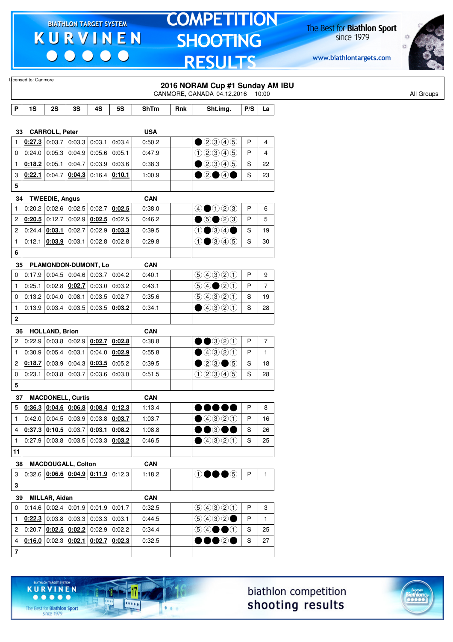$\begin{array}{c|c|c|c|c} \hline \bullet & \bullet & \bullet & \bullet & \bullet \end{array}$ 

# **TOMPETITION SHOOTING RESULTS**

The Best for **Biathlon Sport**<br>since 1979

www.biathlontargets.com



|                |        |                       |                                              |                  |           |                      |     | 2016 NORAM Cup #1 Sunday AM IBU<br>CANMORE, CANADA 04.12.2016 10:00       |               |                |
|----------------|--------|-----------------------|----------------------------------------------|------------------|-----------|----------------------|-----|---------------------------------------------------------------------------|---------------|----------------|
| P              | 1S     | 2S                    | 3S                                           | 4S               | <b>5S</b> | <b>ShTm</b>          | Rnk | Sht.img.                                                                  | P/S           | La             |
|                |        |                       |                                              |                  |           |                      |     |                                                                           |               |                |
| 33             |        | <b>CARROLL, Peter</b> | $0.27.3$ 0:03.7 0:03.3                       |                  |           | <b>USA</b><br>0:50.2 |     | $\n  2900\n$                                                              | P             |                |
| 1              | 0.24.0 | 0:05.3                | 0:04.9                                       | 0:03.1<br>0:05.6 | 0:03.4    | 0:47.9               |     |                                                                           | P             | 4              |
| 0              |        |                       |                                              |                  | 0:05.1    |                      |     | 000005                                                                    |               | 4              |
| 1              |        | 0:18.2 0:05.1         | 0:04.7                                       | 0:03.9           | 0:03.6    | 0:38.3               |     | $\bigcirc$ 20046                                                          | S             | 22             |
| 3              | 0:22.1 | 0:04.7                | 0:04.3                                       | 0:16.4           | 0:10.1    | 1:00.9               |     | $\bullet$ 2000                                                            | S             | 23             |
| 5              |        |                       |                                              |                  |           |                      |     |                                                                           |               |                |
| 34             |        | <b>TWEEDIE, Angus</b> |                                              |                  |           | <b>CAN</b>           |     |                                                                           |               |                |
| $\mathbf{1}$   |        |                       | $0.20.2$ 0.02.6 0.02.5 0.02.7                |                  | 0:02.5    | 0:38.0               |     | 40023                                                                     | P             | 6              |
| 2              |        | $0:20.5$ 0:12.7       | $0:02.9$ 0:02.5                              |                  | 0:02.5    | 0:46.2               |     | $\bigcirc$ 5 $\bigcirc$ 2 3                                               | P             | 5              |
| 2              | 0:24.4 | 0:03.1                | 0:02.7                                       | 0:02.9           | 0:03.3    | 0:39.5               |     | $0 \bullet 34 \bullet$                                                    | ${\mathbb S}$ | 19             |
| $\mathbf{1}$   |        | $0:12.1$ 0:03.9       | 0:03.1                                       | $0:02.8$ 0:02.8  |           | 0:29.8               |     | $0$ $0$ $0$ $0$ $0$                                                       | S             | 30             |
| 6              |        |                       |                                              |                  |           |                      |     |                                                                           |               |                |
| 35             |        |                       | PLAMONDON-DUMONT, Lo                         |                  |           | <b>CAN</b>           |     |                                                                           |               |                |
| 0              |        |                       | $0.17.9$ 0.04.5 0.04.6 0.03.7 0.04.2         |                  |           | 0:40.1               |     | 99900                                                                     | P             | 9              |
| $\mathbf{1}$   |        | $0:25.1$ 0:02.8       | 0:02.7                                       | 0:03.0           | 0:03.2    | 0:43.1               |     | $\bigcirc \bigcirc \bigcirc \bigcirc \bigcirc \bigcirc \bigcirc \bigcirc$ | P             | $\overline{7}$ |
| 0              |        | 0:13.2 0:04.0         | 0:08.1                                       | 0:03.5           | 0:02.7    | 0:35.6               |     | 99920                                                                     | S             | 19             |
| $\mathbf{1}$   |        | 0:13.9 0:03.4         | 0:03.5                                       | 0:03.5           | 0:03.2    | 0:34.1               |     | $\bigcirc$ 4320                                                           | $\mathbf S$   | 28             |
| 2              |        |                       |                                              |                  |           |                      |     |                                                                           |               |                |
|                |        |                       |                                              |                  |           |                      |     |                                                                           |               |                |
| 36             |        | <b>HOLLAND, Brion</b> |                                              |                  |           | <b>CAN</b>           |     |                                                                           |               |                |
| 2              |        |                       | $0:22.9$ 0:03.8 0:02.9 0:02.7 0:02.8         |                  |           | 0:38.8               |     | $\bullet$ 320                                                             | P             | $\overline{7}$ |
| 1              |        | 0:30.9 0:05.4         | 0:03.1                                       | 0:04.0           | 0:02.9    | 0:55.8               |     | 00000                                                                     | P             | $\mathbf{1}$   |
| 2              | 0:18.7 | 0:03.9                | 0:04.3                                       | 0:03.5           | 0:05.2    | 0:39.5               |     | $\bullet$ 20 $\bullet$ 5                                                  | S             | 18             |
| 0              | 0:23.1 | 0:03.8                | 0:03.7                                       | $0.03.6$ 0.03.0  |           | 0:51.5               |     | $(1)$ $(2)$ $(3)$ $(4)$ $(5)$                                             | S             | 28             |
| 5              |        |                       |                                              |                  |           |                      |     |                                                                           |               |                |
| 37             |        |                       | <b>MACDONELL, Curtis</b>                     |                  |           | <b>CAN</b>           |     |                                                                           |               |                |
| 5              |        |                       | $0.36.3$ $0.04.6$ $0.06.8$ $0.08.4$ $0.12.3$ |                  |           | 1:13.4               |     |                                                                           | P             | 8              |
| 1              |        |                       | $0.42.0   0.04.5   0.03.9   0.03.8   0.03.7$ |                  |           | 1:03.7               |     | ①③③③                                                                      | P             | 16             |
| 4              |        |                       | $0.37.3$ $0.10.5$ 0:03.7 0:03.1              |                  | 0:08.2    | 1:08.8               |     | DO®OO                                                                     | S             | 26             |
| $\mathbf{1}$   |        |                       | $0.27.9$ 0.03.8 0.03.5 0.03.3 0.03.2         |                  |           | 0:46.5               |     | ④④③①                                                                      | $\mathsf{s}$  | 25             |
| 11             |        |                       |                                              |                  |           |                      |     |                                                                           |               |                |
| 38             |        |                       | <b>MACDOUGALL, Colton</b>                    |                  |           | <b>CAN</b>           |     |                                                                           |               |                |
| 3              |        |                       | $0.32.6$ $0.06.6$ $0.04.9$ $0.11.9$ $0.12.3$ |                  |           | 1:18.2               |     | $\mathbf{\odot} \bullet \bullet \mathbf{\odot}$                           | $\mathsf P$   | $\mathbf{1}$   |
|                |        |                       |                                              |                  |           |                      |     |                                                                           |               |                |
| 3              |        |                       |                                              |                  |           |                      |     |                                                                           |               |                |
| 39             |        | <b>MILLAR, Aidan</b>  |                                              |                  |           | CAN                  |     |                                                                           |               |                |
| 0              |        |                       | $0.14.6$ 0.02.4 0.01.9 0.01.9 0.01.7         |                  |           | 0:32.5               |     | 9990                                                                      | P             | 3              |
| $\mathbf{1}$   |        |                       | $0.22.3$ 0.03.8 0.03.3 0.03.3 0.03.1         |                  |           | 0:44.5               |     | (50000)                                                                   | P             | $\mathbf{1}$   |
| $\overline{2}$ |        |                       | $0:20.7$ $0:02.5$ $0:02.2$ 0:02.9 0:02.2     |                  |           | 0:34.4               |     | $\circledcirc \bullet \bullet \bullet$                                    | ${\mathbb S}$ | 25             |
| 4              |        |                       | $0.16.0$ 0:02.3 $0.02.1$ 0:02.7 0:02.3       |                  |           | 0:32.5               |     | $\bullet\bullet\circ\bullet$                                              | S             | $27\,$         |
| $\overline{7}$ |        |                       |                                              |                  |           |                      |     |                                                                           |               |                |





The Best for **Biathlon Sport**<br>since 1979

TARGET SYSTEM

-17

 $\overline{\cdots}$ 

 $1.1.1$ 

**KURVINEN**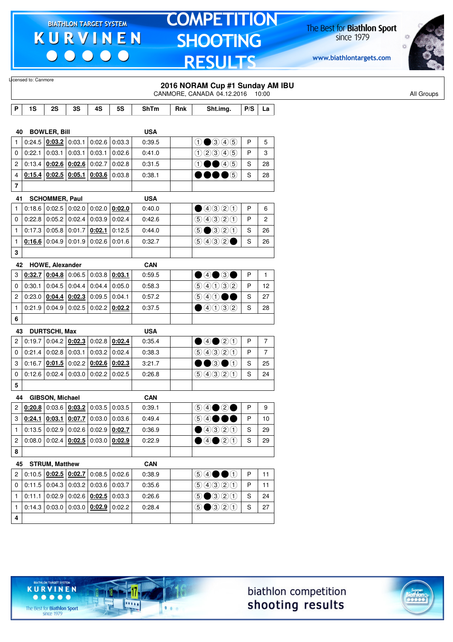$\begin{array}{c|c|c|c|c} \hline \bullet & \bullet & \bullet & \bullet & \bullet \end{array}$ 

# **TOMPETITION SHOOTING RESULTS**

The Best for **Biathlon Sport**<br>since 1979

www.biathlontargets.com



|                | Licensed to: Canmore                             |                                   |        |                                              |                 |            |     | 2016 NORAM Cup #1 Sunday AM IBU<br>CANMORE, CANADA 04.12.2016 10:00     |              |                |
|----------------|--------------------------------------------------|-----------------------------------|--------|----------------------------------------------|-----------------|------------|-----|-------------------------------------------------------------------------|--------------|----------------|
|                |                                                  |                                   |        |                                              |                 |            |     |                                                                         |              |                |
| P              | 1S                                               | 2S                                | 3S     | 4S                                           | <b>5S</b>       | ShTm       | Rnk | Sht.img.                                                                | P/S          | La             |
|                |                                                  |                                   |        |                                              |                 |            |     |                                                                         |              |                |
| 40             |                                                  | <b>BOWLER, Bill</b>               |        |                                              |                 | <b>USA</b> |     |                                                                         |              |                |
| 1              |                                                  | $0:24.5$ 0:03.2                   | 0:03.1 | 0:02.6                                       | 0:03.3          | 0:39.5     |     | $0$ 0 3 4 5                                                             | P            | 5              |
| 0              | 0:22.1                                           | 0:03.1                            | 0:03.1 | 0:03.1                                       | 0:02.6          | 0:41.0     |     | 02345                                                                   | P            | 3              |
| 2              |                                                  | $0:13.4$ $0:02.6$ $0:02.6$ 0:02.7 |        |                                              | 0:02.8          | 0:31.5     |     | $\textcircled{\small{1}}\textcircled{\small{4}}\textcircled{\small{5}}$ | S            | 28             |
| 4              |                                                  | $0:15.4$ 0:02.5                   | 0:05.1 |                                              | $0:03.6$ 0:03.8 | 0:38.1     |     | DOOOG                                                                   | S            | 28             |
| 7              |                                                  |                                   |        |                                              |                 |            |     |                                                                         |              |                |
| 41             |                                                  | <b>SCHOMMER, Paul</b>             |        |                                              |                 | <b>USA</b> |     |                                                                         |              |                |
| 1              | 0:18.6                                           | 0:02.5                            | 0:02.0 | 0:02.0                                       | 0:02.0          | 0:40.0     |     | ①③③②①                                                                   | P            | 6              |
| 0              |                                                  | $0:22.8$ 0:05.2                   | 0:02.4 | 0:03.9                                       | 0:02.4          | 0:42.6     |     | 9990                                                                    | P            | $\overline{c}$ |
| $\mathbf{1}$   | 0:17.3                                           | 0:05.8                            | 0:01.7 | 0:02.1                                       | 0:12.5          | 0:44.0     |     | <b>⑤●</b> ③②①                                                           | S            | 26             |
| $\mathbf{1}$   |                                                  | 0:16.6 0:04.9                     | 0:01.9 | 0:02.6                                       | 0:01.6          | 0:32.7     |     | (5)4032                                                                 | S            | 26             |
| 3              |                                                  |                                   |        |                                              |                 |            |     |                                                                         |              |                |
| 42             |                                                  | <b>HOWE, Alexander</b>            |        |                                              |                 | <b>CAN</b> |     |                                                                         |              |                |
| 3              |                                                  |                                   |        | 0.32.7   0.04.8   0.06.5   0.03.8            | 0:03.1          | 0:59.5     |     | $\bullet$ 4 $\bullet$ 3 $\bullet$                                       | P            | $\mathbf{1}$   |
| $\mathbf 0$    | 0:30.1                                           | 0:04.5                            | 0:04.4 | 0:04.4                                       | 0:05.0          | 0:58.3     |     | 90000                                                                   | P            | 12             |
| 2              |                                                  | 0:23.0   0:04.4                   |        | $0:02.3$ 0:09.5 0:04.1                       |                 | 0:57.2     |     | $\circledcirc \circledcirc \bullet \bullet$                             | S            | 27             |
| $\mathbf{1}$   |                                                  | $0:21.9$ 0:04.9                   |        | $0:02.5$ 0:02.2                              | 0:02.2          | 0:37.5     |     | $\bullet$ 4032                                                          | S            | 28             |
| 6              |                                                  |                                   |        |                                              |                 |            |     |                                                                         |              |                |
| 43             |                                                  | <b>DURTSCHI, Max</b>              |        |                                              |                 | <b>USA</b> |     |                                                                         |              |                |
| 2              | 0:19.7                                           | 0:04.2                            | 0:02.3 | 0:02.8                                       | 0:02.4          | 0:35.4     |     | ④④③③                                                                    | P            | $\overline{7}$ |
| $\mathbf 0$    | 0:21.4                                           | 0:02.8                            | 0:03.1 | $0:03.2$ 0:02.4                              |                 | 0:38.3     |     | 9990                                                                    | P            | $\overline{7}$ |
| 3              | 0:16.7                                           | 0:01.5                            |        | $0.02.2$ 0.02.6 0.02.3                       |                 | 3:21.7     |     | $\bullet\bullet$ 3 $\bullet\circ$                                       | S            | 25             |
| 0              | 0:12.6                                           | 0:02.4                            | 0:03.0 | 0:02.2                                       | 0:02.5          | 0:26.8     |     | 99920                                                                   | S            | 24             |
| 5              |                                                  |                                   |        |                                              |                 |            |     |                                                                         |              |                |
|                |                                                  |                                   |        |                                              |                 |            |     |                                                                         |              |                |
| 44             |                                                  | GIBSON, Michael                   |        | $0.20.8$ 0:03.6 $0.03.2$ 0:03.5              |                 | <b>CAN</b> |     |                                                                         | P            |                |
| $\overline{c}$ |                                                  |                                   |        |                                              | 0:03.5          | 0:39.1     |     | $\circledcirc \bullet \circledcirc \bullet$                             |              | 9              |
|                | $3   0:24.1   0:03.1   0:07.7   0:03.0   0:03.6$ |                                   |        |                                              |                 | 0:49.4     |     | <b>⑤④●●●</b>                                                            | P            | 10             |
| $\mathbf{1}$   |                                                  |                                   |        | $0.13.5   0.02.9   0.02.6   0.02.9   0.02.7$ |                 | 0:36.9     |     | ④④③③                                                                    | S            | 29             |
| $\overline{2}$ |                                                  |                                   |        | $0.08.0   0.02.4   0.02.5   0.03.0   0.02.9$ |                 | 0:22.9     |     | $\bigcirc$ 4 $\bigcirc$ 2 $\bigcirc$                                    | S            | 29             |
| 8              |                                                  |                                   |        |                                              |                 |            |     |                                                                         |              |                |
|                | 45 STRUM, Matthew                                |                                   |        |                                              |                 | <b>CAN</b> |     |                                                                         |              |                |
| $\mathbf{2}$   |                                                  |                                   |        | 0.10.5   0.02.5   0.02.7   0.08.5            | 0:02.6          | 0:38.9     |     | $\circledcirc \bullet \bullet \bullet$                                  | $\mathsf{P}$ | 11             |
| 0              |                                                  |                                   |        | $0.11.5$ 0.04.3 0.03.2 0.03.6 0.03.7         |                 | 0:35.6     |     | 9990                                                                    | P            | 11             |
| $\mathbf{1}$   |                                                  |                                   |        | $0:11.1$ 0:02.9 0:02.6 0:02.5 0:03.3         |                 | 0:26.6     |     | $\bigcirc$ $\bigcirc$ $\bigcirc$ $\bigcirc$ $\bigcirc$                  | S            | 24             |
| $\mathbf{1}$   |                                                  |                                   |        | $0.14.3   0.03.0   0.03.0   0.02.9   0.02.2$ |                 | 0:28.4     |     | $\bigcirc$ $\bigcirc$ $\bigcirc$ $\bigcirc$ $\bigcirc$                  | S            | 27             |
| 4              |                                                  |                                   |        |                                              |                 |            |     |                                                                         |              |                |





The Best for **Biathlon Sport**<br>since 1979

TARGET SYSTEM

-17

 $\overline{\cdots}$ 

 $1.1.1$ 

**KURVINEN**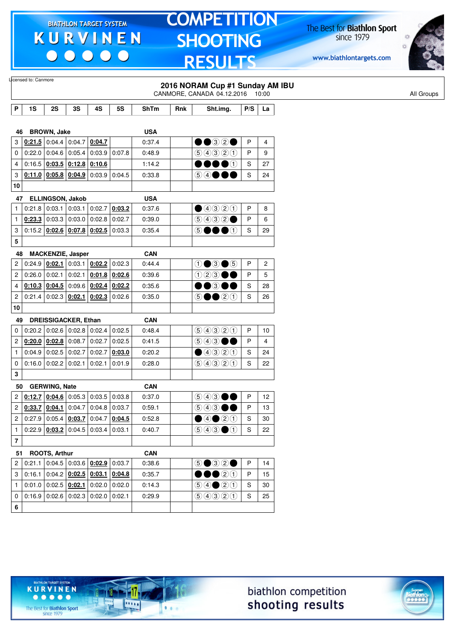$\begin{array}{c|c|c|c|c} \hline \bullet & \bullet & \bullet & \bullet & \bullet \end{array}$ 

# **TOMPETITION SHOOTING RESULTS**

The Best for **Biathlon Sport**<br>since 1979

www.biathlontargets.com



|                         | Licensed to: Canmore                             |                      |                                                                    |        |                                                                    |             |     | 2016 NORAM Cup #1 Sunday AM IBU<br>CANMORE, CANADA 04.12.2016 10:00        |              |    | All Groups |
|-------------------------|--------------------------------------------------|----------------------|--------------------------------------------------------------------|--------|--------------------------------------------------------------------|-------------|-----|----------------------------------------------------------------------------|--------------|----|------------|
| P                       | 1S                                               | 2S                   | 3S                                                                 | 4S     | <b>5S</b>                                                          | <b>ShTm</b> | Rnk | Sht.img.                                                                   | P/S          | La |            |
|                         |                                                  |                      |                                                                    |        |                                                                    |             |     |                                                                            |              |    |            |
| 46                      |                                                  | <b>BROWN, Jake</b>   |                                                                    |        |                                                                    | <b>USA</b>  |     |                                                                            |              |    |            |
| 3                       | $0:21.5$ 0:04.4 0:04.7                           |                      |                                                                    | 0:04.7 |                                                                    | 0:37.4      |     | $\bullet\textcolor{red}{\bullet\circledcirc}\textcolor{red}{\circ\bullet}$ | P            | 4  |            |
| 0                       | 0:22.0                                           | 0:04.6               | 0:05.4                                                             | 0:03.9 | 0:07.8                                                             | 0.48.9      |     | 9990                                                                       | P            | 9  |            |
| 4                       | 0:16.5                                           |                      | $0.03.5$ $0.12.8$ $0.10.6$                                         |        |                                                                    | 1:14.2      |     | $\bullet\bullet\bullet\circ$                                               | S            | 27 |            |
| 3                       |                                                  |                      | $0:11.0$ 0:05.8 0:04.9                                             |        | $0:03.9$ 0:04.5                                                    | 0:33.8      |     | 54●●●                                                                      | S            | 24 |            |
| 10                      |                                                  |                      |                                                                    |        |                                                                    |             |     |                                                                            |              |    |            |
| 47                      |                                                  |                      | <b>ELLINGSON, Jakob</b>                                            |        |                                                                    | <b>USA</b>  |     |                                                                            |              |    |            |
| 1                       | 0:21.8                                           | 0:03.1               | 0:03.1                                                             | 0:02.7 | 0:03.2                                                             | 0:37.6      |     | ①③③②①                                                                      | $\mathsf{P}$ | 8  |            |
| 1                       |                                                  | $0:23.3$ 0:03.3      | 0:03.0                                                             | 0:02.8 | 0:02.7                                                             | 0:39.0      |     | 9992                                                                       | P            | 6  |            |
| 3                       |                                                  |                      | $0.15.2$ 0.02.6 0.07.8 0.02.5                                      |        | 0:03.3                                                             | 0:35.4      |     | 5●●●①                                                                      | S            | 29 |            |
| 5                       |                                                  |                      |                                                                    |        |                                                                    |             |     |                                                                            |              |    |            |
| 48                      |                                                  |                      | <b>MACKENZIE, Jasper</b>                                           |        |                                                                    | <b>CAN</b>  |     |                                                                            |              |    |            |
| 2                       | 0:24.9                                           | 0:02.1               |                                                                    |        | $0:03.1$ 0:02.2 0:02.3                                             | 0.44.4      |     | $0 \bullet 3 \bullet 5$                                                    | P            | 2  |            |
| 2                       | 0:26.0                                           | 0:02.1               | 0:02.1                                                             |        | $0:01.8$ 0:02.6                                                    | 0:39.6      |     | $023 \bullet \bullet$                                                      | P            | 5  |            |
| 4                       | $0:10.3$ 0:04.5                                  |                      | 0:09.6                                                             |        | $0.02.4$ 0.02.2                                                    | 0:35.6      |     | $\bullet\bullet$ 300                                                       | S            | 28 |            |
| 2                       | 0:21.4                                           | 0:02.3               | 0:02.1                                                             |        | $0:02.3$ 0:02.6                                                    | 0:35.0      |     | $\odot \bullet \bullet$ 20                                                 | S            | 26 |            |
| 10                      |                                                  |                      |                                                                    |        |                                                                    |             |     |                                                                            |              |    |            |
| 49                      |                                                  |                      | <b>DREISSIGACKER, Ethan</b>                                        |        |                                                                    | <b>CAN</b>  |     |                                                                            |              |    |            |
| 0                       |                                                  |                      | $0.20.2$ 0.02.6 0.02.8 0.02.4                                      |        | 0:02.5                                                             | 0:48.4      |     | 99900                                                                      | P            | 10 |            |
| $\overline{c}$          | $0.20.0$ 0.02.8 0.08.7                           |                      |                                                                    | 0:02.7 | 0:02.5                                                             | 0:41.5      |     |                                                                            | P            | 4  |            |
| $\mathbf{1}$            |                                                  | $0:04.9$ 0:02.5      | 0:02.7                                                             | 0:02.7 | 0:03.0                                                             | 0:20.2      |     | ①③③②                                                                       | S            | 24 |            |
| 0                       | 0:16.0                                           | 0:02.2               | 0:02.1                                                             | 0:02.1 | 0:01.9                                                             | 0:28.0      |     | 9990                                                                       | S            | 22 |            |
| 3                       |                                                  |                      |                                                                    |        |                                                                    |             |     |                                                                            |              |    |            |
| 50                      |                                                  | <b>GERWING, Nate</b> |                                                                    |        |                                                                    | <b>CAN</b>  |     |                                                                            |              |    |            |
| 2                       |                                                  | 0:12.7 0:04.6        |                                                                    |        | $0:05.3$ 0:03.5 0:03.8                                             | 0:37.0      |     | $943 \bullet$                                                              | P            | 12 |            |
| $\overline{c}$          | $0.33.7$ 0.04.1 0.04.7                           |                      |                                                                    |        | $0:04.8$ 0:03.7                                                    | 0:59.1      |     | $\circledcirc$ 4300                                                        | P            | 13 |            |
|                         |                                                  |                      |                                                                    |        | 2 0:27.9 0:05.4 $0.03.7$ 0:04.7 0:04.5                             | 0:52.8      |     | ④④③③                                                                       | S            | 30 |            |
| $\mathbf{1}$            |                                                  |                      | $0.22.9$ $0.03.2$ 0.04.5 0.03.4 0.03.1                             |        |                                                                    | 0:40.7      |     | $\bigcirc \bigcirc \bigcirc \bigcirc \bigcirc \bigcirc$                    | <sub>S</sub> | 22 |            |
| $\overline{\mathbf{7}}$ |                                                  |                      |                                                                    |        |                                                                    |             |     |                                                                            |              |    |            |
| 51                      |                                                  | ROOTS, Arthur        |                                                                    |        |                                                                    | <b>CAN</b>  |     |                                                                            |              |    |            |
| 2                       |                                                  |                      | $\vert 0.21.1 \vert 0.04.5 \vert 0.03.6 \vert 0.02.9 \vert 0.03.7$ |        |                                                                    | 0:38.6      |     | $\circledcirc \bullet \circledcirc \circledcirc$                           | $\mathsf{P}$ | 14 |            |
|                         | $3   0:16.1   0:04.2   0:02.5   0:03.1   0:04.8$ |                      |                                                                    |        |                                                                    | 0:35.7      |     | $\bullet\bullet\circ\circ$                                                 | P            | 15 |            |
| $\mathbf{1}$            | $0:01.0$ 0:02.5 0:02.1                           |                      |                                                                    |        | $0:02.0$ 0:02.0                                                    | 0:14.3      |     | $\bigcirc \bigcirc \bigcirc \bigcirc \bigcirc \bigcirc \bigcirc \bigcirc$  | S            | 30 |            |
| 0                       |                                                  |                      |                                                                    |        |                                                                    |             |     |                                                                            |              |    |            |
|                         |                                                  |                      |                                                                    |        | $\vert 0.16.9 \vert 0.02.6 \vert 0.02.3 \vert 0.02.0 \vert 0.02.1$ | 0:29.9      |     | 90000                                                                      | S            | 25 |            |





The Best for **Biathlon Sport**<br>since 1979

TARGET SYSTEM

17

**Price** 

 $1.1.1$ 

**KURVINEN**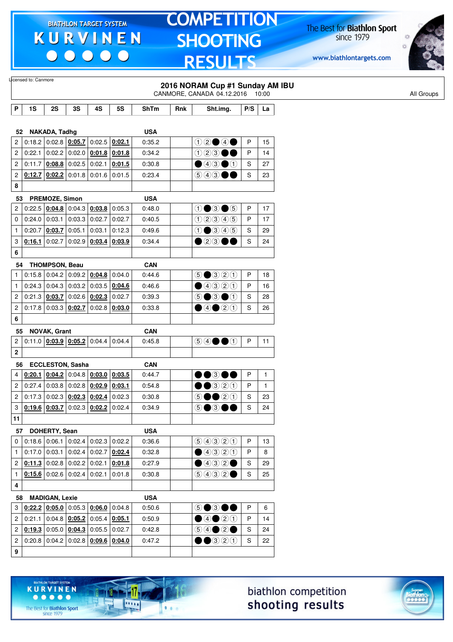$\begin{array}{c|c|c|c|c} \hline \bullet & \bullet & \bullet & \bullet & \bullet \end{array}$ 

# **TOMPETITION** SHOOTING **RESULTS**

The Best for **Biathlon Sport**<br>since 1979

www.biathlontargets.com



|                         | Licensed to: Canmore |                       |                                        |                                                     |                 |             |     | 2016 NORAM Cup #1 Sunday AM IBU<br>CANMORE, CANADA 04.12.2016 10:00 |               |              |
|-------------------------|----------------------|-----------------------|----------------------------------------|-----------------------------------------------------|-----------------|-------------|-----|---------------------------------------------------------------------|---------------|--------------|
| P                       | 1S                   | 2S                    | 3S                                     | 4S                                                  | <b>5S</b>       | <b>ShTm</b> | Rnk | Sht.img.                                                            | P/S           | La           |
|                         |                      |                       |                                        |                                                     |                 |             |     |                                                                     |               |              |
| 52                      |                      | NAKADA, Tadhg         |                                        |                                                     |                 | <b>USA</b>  |     |                                                                     |               |              |
| $\overline{c}$          |                      |                       | $0:18.2$ 0:02.8 0:05.7                 | 0:02.5                                              | 0:02.1          | 0:35.2      |     | $02 \bullet 4 \bullet$                                              | P             | 15           |
| $\mathbf{2}$            | 0:22.1               | 0:02.2                | 0.02.0                                 | 0:01.8                                              | 0:01.8          | 0:34.2      |     | $023 \bullet \bullet$                                               | P             | 14           |
| $\overline{c}$          |                      |                       | $0:11.7$ 0:08.8 0:02.5                 | 0:02.1                                              | 0:01.5          | 0:30.8      |     | $\bigcirc$ 43 $\bigcirc$ 1                                          | $\mathbb S$   | 27           |
| $\overline{\mathbf{c}}$ |                      |                       | 0.12.7   0.02.2   0.01.8               |                                                     | $0:01.6$ 0:01.5 | 0:23.4      |     | 603●●                                                               | ${\mathbb S}$ | 23           |
| 8                       |                      |                       |                                        |                                                     |                 |             |     |                                                                     |               |              |
| 53                      |                      | PREMOZE, Simon        |                                        |                                                     |                 | <b>USA</b>  |     |                                                                     |               |              |
| $\overline{2}$          | 0:22.5               |                       | $0.04.8$ 0:04.3                        | 0:03.8                                              | 0:05.3          | 0:48.0      |     | $0 \bullet 3 \bullet 5$                                             | $\sf P$       | 17           |
| 0                       | 0:24.0               | 0:03.1                | 0:03.3                                 | 0:02.7                                              | 0:02.7          | 0:40.5      |     | 02345                                                               | P             | 17           |
| 1                       | 0:20.7               | 0:03.7                | 0:05.1                                 | 0:03.1                                              | 0:12.3          | 0:49.6      |     | $0$ $0$ $0$ $0$ $0$                                                 | ${\mathbb S}$ | 29           |
| 3                       | 0:16.1               | 0:02.7                | 0:02.9                                 | 0:03.4                                              | 0:03.9          | 0:34.4      |     | $\bullet$ 2300                                                      | $\mathbf S$   | 24           |
| 6                       |                      |                       |                                        |                                                     |                 |             |     |                                                                     |               |              |
| 54                      |                      | <b>THOMPSON, Beau</b> |                                        |                                                     |                 | <b>CAN</b>  |     |                                                                     |               |              |
| $\mathbf{1}$            | 0:15.8               |                       | $0.04.2$ 0.09.2 0.04.8                 |                                                     | 0:04.0          | 0:44.6      |     | $\bigcirc$ $\bigcirc$ $\bigcirc$ $\bigcirc$ $\bigcirc$              | P             | 18           |
| $\mathbf{1}$            |                      | $0:24.3$ 0:04.3       | 0:03.2                                 | 0:03.5                                              | 0:04.6          | 0:46.6      |     | ①③③③                                                                | P             | 16           |
| $\mathbf{2}$            |                      | $0:21.3$ 0:03.7       | 0:02.6                                 | 0:02.3                                              | 0:02.7          | 0:39.3      |     | $\circledcirc$ $\bullet$ $\circledcirc$                             | ${\mathbb S}$ | 28           |
| $\boldsymbol{2}$        |                      |                       | $0:17.8$ 0:03.3 0:02.7                 |                                                     | $0:02.8$ 0:03.0 | 0:33.8      |     | $\bigcirc$ 4 $\bigcirc$ 2 $\bigcirc$                                | ${\mathbb S}$ | 26           |
| 6                       |                      |                       |                                        |                                                     |                 |             |     |                                                                     |               |              |
| 55                      |                      | <b>NOVAK, Grant</b>   |                                        |                                                     |                 | <b>CAN</b>  |     |                                                                     |               |              |
| $\overline{\mathbf{c}}$ |                      |                       | $0:11.0$ $0:03.9$ $0:05.2$             | 0:04.4                                              | 0.04.4          | 0:45.8      |     | $\circledcirc \circ \bullet \bullet \circlearrowleft$               | P             | 11           |
| $\mathbf 2$             |                      |                       |                                        |                                                     |                 |             |     |                                                                     |               |              |
| 56                      |                      |                       | <b>ECCLESTON, Sasha</b>                |                                                     |                 | <b>CAN</b>  |     |                                                                     |               |              |
| 4                       | 0:20.1               |                       | $0.04.2$ 0:04.8 0:03.0                 |                                                     | 0:03.5          | 0:44.7      |     | $\bullet$ $\bullet$ $\circ$<br>DØ                                   | P             | $\mathbf{1}$ |
| $\overline{\mathbf{c}}$ | 0:27.4               |                       | $0:03.8$ 0:02.8 0:02.9                 |                                                     | 0:03.1          | 0:54.8      |     | $\bullet$ 320                                                       | P             | $\mathbf{1}$ |
| $\mathbf{2}^{\prime}$   |                      |                       | $0:17.3$   0:02.3   0:02.3   0:02.4    |                                                     | 0:02.3          | 0:30.8      |     | $\circledcirc \bullet \bullet \circledcirc \circledcirc$            | ${\mathbb S}$ | 23           |
| 3                       |                      | $0:19.6$ 0:03.7       |                                        | $0:02.3$ 0:02.2                                     | 0:02.4          | 0:34.9      |     | 5●3●●                                                               | S             | 24           |
| 11                      |                      |                       |                                        |                                                     |                 |             |     |                                                                     |               |              |
|                         | 57                   | DOHERTY, Sean         |                                        |                                                     |                 | <b>USA</b>  |     |                                                                     |               |              |
| 0                       |                      | 0:18.6 0:06.1         | 0:02.4                                 | 0:02.3                                              | 0:02.2          | 0:36.6      |     | 9990                                                                | $\sf P$       | 13           |
| $\mathbf{1}$            |                      | $0:17.0$ 0:03.1       |                                        | $\vert$ 0:02.4 $\vert$ 0:02.7 $\vert$ <u>0:02.4</u> |                 | 0:32.8      |     | ④④③③                                                                | P             | 8            |
| $\overline{2}$          |                      |                       | $0:11.3$ 0:02.8 0:02.2 0:02.1          |                                                     | 0:01.8          | 0:27.9      |     | $\bigcirc$ 432 $\bigcirc$                                           | ${\mathbb S}$ | 29           |
| $\mathbf{1}$            |                      |                       | $0:15.6$ 0:02.6 0:02.4 0:02.1          |                                                     | 0:01.8          | 0:30.8      |     | 9992                                                                | $\mathbf S$   | 25           |
| 4                       |                      |                       |                                        |                                                     |                 |             |     |                                                                     |               |              |
|                         |                      |                       |                                        |                                                     |                 |             |     |                                                                     |               |              |
| 58                      |                      | <b>MADIGAN, Lexie</b> |                                        |                                                     |                 | <b>USA</b>  |     |                                                                     |               |              |
| 3                       |                      |                       | 0.22.2   0.05.0   0.05.3   0.06.0      |                                                     | 0:04.8          | 0:50.6      |     | 50300                                                               | $\sf P$       | 6            |
| $\mathbf{2}$            | 0:21.1               |                       | 0.04.8   0.05.2                        | 0:05.4                                              | 0:05.1          | 0:50.9      |     | ④④③③                                                                | P             | 14           |
| $\overline{2}$          |                      |                       | $0.19.3$ 0:05.0 $0.04.3$ 0:05.5 0:02.7 |                                                     |                 | 0:42.8      |     | $\bigcirc \bigcirc \bigcirc \bullet \bigcirc \bullet$               | ${\mathbb S}$ | 24           |
| $\mathbf{2}$            |                      |                       | $0:20.8$ 0:04.2 0:02.8 0:09.6 0:04.0   |                                                     |                 | 0:47.2      |     | $\bigcirc$ $\bigcirc$ 20                                            | ${\mathbb S}$ | 22           |
| 9                       |                      |                       |                                        |                                                     |                 |             |     |                                                                     |               |              |





The Best for **Biathlon Sport**<br>since 1979

TARGET SYSTEM

17

.....

 $1.1.1$ 

**KURVINEN**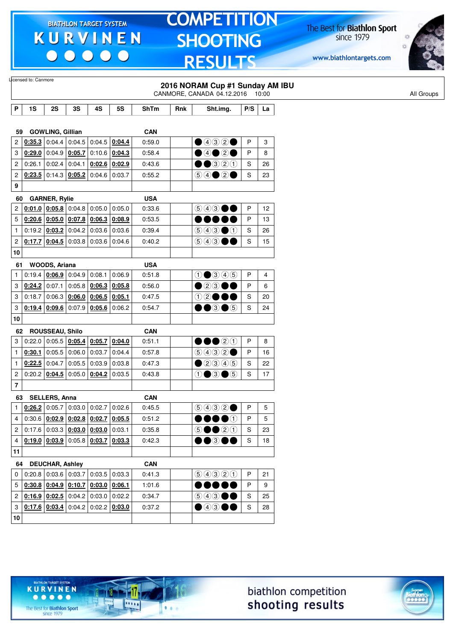$\begin{array}{c|c} \bullet & \bullet & \bullet & \bullet \end{array}$ 

### **TOMPETITION SHOOTING RESULTS**

The Best for **Biathlon Sport**<br>since 1979

www.biathlontargets.com



|              | Licensed to: Canmore                             |                                 |                 |                                                                                              |                 |             |     |                                                                                        |               |    |            |
|--------------|--------------------------------------------------|---------------------------------|-----------------|----------------------------------------------------------------------------------------------|-----------------|-------------|-----|----------------------------------------------------------------------------------------|---------------|----|------------|
|              |                                                  |                                 |                 |                                                                                              |                 |             |     | 2016 NORAM Cup #1 Sunday AM IBU                                                        |               |    |            |
|              |                                                  |                                 |                 |                                                                                              |                 |             |     | CANMORE, CANADA 04.12.2016 10:00                                                       |               |    | All Groups |
| Ρ            | 1S                                               | 2S                              | 3S              | 4S                                                                                           | <b>5S</b>       | <b>ShTm</b> | Rnk | Sht.img.                                                                               | P/S           | La |            |
|              |                                                  |                                 |                 |                                                                                              |                 |             |     |                                                                                        |               |    |            |
| 59           |                                                  | <b>GOWLING, Gillian</b>         |                 |                                                                                              |                 | <b>CAN</b>  |     |                                                                                        |               |    |            |
| 2            |                                                  | $0.35.3$ 0:04.4 0:04.5          |                 | $0:04.5$ 0:04.4                                                                              |                 | 0.59.0      |     | $\bigcirc$ 4020                                                                        | P             | 3  |            |
| 3            |                                                  | $0.29.0$ 0:04.9                 | 0:05.7          |                                                                                              | $0:10.6$ 0:04.3 | 0:58.4      |     | $\bigcirc$ 40 20                                                                       | P             | 8  |            |
| 2            | 0:26.1                                           | 0:02.4                          | 0:04.1          | $0:02.6$ 0:02.9                                                                              |                 | 0:43.6      |     | $\bullet\bullet$ 320                                                                   | S             | 26 |            |
| 2            |                                                  | $0:23.5$ 0:14.3 0:05.2          |                 | 0:04.6                                                                                       | 0:03.7          | 0:55.2      |     | $\bigcirc \bigcirc \bigcirc \bigcirc \bigcirc \bullet$                                 | S             | 23 |            |
| 9            |                                                  |                                 |                 |                                                                                              |                 |             |     |                                                                                        |               |    |            |
| 60           |                                                  | <b>GARNER, Rylie</b>            |                 |                                                                                              |                 | <b>USA</b>  |     |                                                                                        |               |    |            |
| 2            |                                                  | $0.01.0$ 0.05.8                 |                 | $0.04.8$ 0:05.0                                                                              | 0:05.0          | 0:33.6      |     | $\textcircled{\scriptsize{9}}\textcircled{\scriptsize{9}}\textcircled{\scriptsize{9}}$ | $\mathsf{P}$  | 12 |            |
| 5            |                                                  |                                 |                 | $0:20.6$ $0:05.0$ $0:07.8$ $0:06.3$                                                          | 0:08.9          | 0:53.5      |     |                                                                                        | P             | 13 |            |
| $\mathbf{1}$ |                                                  | 0.19.2   0.03.2   0.04.2        |                 | 0:03.6                                                                                       | 0:03.6          | 0:39.4      |     | $\bigcirc$ 4300                                                                        | S             | 26 |            |
| 2            |                                                  | $0:17.7$ 0:04.5                 | 0:03.8          | 0:03.6                                                                                       | 0:04.6          | 0:40.2      |     | $\circledcirc$ $\bullet$                                                               | S             | 15 |            |
| 10           |                                                  |                                 |                 |                                                                                              |                 |             |     |                                                                                        |               |    |            |
| 61           |                                                  | WOODS, Ariana                   |                 |                                                                                              |                 | <b>USA</b>  |     |                                                                                        |               |    |            |
| 1            |                                                  | $0.19.4$   0.06.9 0.04.9 0.08.1 |                 |                                                                                              | 0:06.9          | 0:51.8      |     | $0$ 0 3 4 5                                                                            | P             | 4  |            |
| 3            |                                                  | $0:24.2$ 0:07.1                 | 0:05.8          | 0:06.3                                                                                       | 0:05.8          | 0:56.0      |     | $\bullet$ 2300                                                                         | P             | 6  |            |
| 3            |                                                  | 0:18.7 0:06.3                   | 0:06.0          | 0:06.5                                                                                       | 0:05.1          | 0:47.5      |     | 12●●●                                                                                  | S             | 20 |            |
| 3            |                                                  |                                 |                 | $0.19.4$ $0.09.6$ 0.07.9 0.05.6                                                              | 0:06.2          | 0:54.7      |     | $\bullet\bullet$ 3 $\bullet$ 5                                                         | S             | 24 |            |
| 10           |                                                  |                                 |                 |                                                                                              |                 |             |     |                                                                                        |               |    |            |
| 62           |                                                  | <b>ROUSSEAU, Shilo</b>          |                 |                                                                                              |                 | <b>CAN</b>  |     |                                                                                        |               |    |            |
| 3            | 0:22.0                                           |                                 | 0.05.5   0.05.4 | 0:05.7                                                                                       | 0:04.0          | 0:51.1      |     | $\bullet\bullet\textcircled{2}\textcircled{1}$                                         | P             | 8  |            |
| 1            | 0:30.1                                           |                                 | $0:05.5$ 0:06.0 | 0:03.7                                                                                       | 0:04.4          | 0:57.8      |     | $\bigcirc \bigcirc \bigcirc \bigcirc \bigcirc \bigcirc$                                | P             | 16 |            |
| 1            |                                                  | $0:22.5$ 0:04.7                 | 0:05.5          | 0:03.9                                                                                       | 0:03.8          | 0:47.3      |     | $\n  2900\n$                                                                           | S             | 22 |            |
| 2            |                                                  | 0:20.2   0:04.5                 |                 | $0:05.0$ 0:04.2                                                                              | 0:03.5          | 0.43.8      |     | $0 \bullet 3 \bullet 5$                                                                | S             | 17 |            |
| 7            |                                                  |                                 |                 |                                                                                              |                 |             |     |                                                                                        |               |    |            |
|              | 63 SELLERS, Anna                                 |                                 |                 |                                                                                              |                 | <b>CAN</b>  |     |                                                                                        |               |    |            |
| $\mathbf{1}$ |                                                  |                                 |                 | $0.26.2$ 0.05.7 0.03.0 0.02.7 0.02.6                                                         |                 | 0:45.5      |     | (5)(4)(3)(2)                                                                           | P             | 5  |            |
| 4            |                                                  |                                 |                 | 0.30.6   0.02.9   0.02.8   0.02.7                                                            | 0:05.5          | 0:51.2      |     | $\bullet\bullet\bullet\circ$                                                           | P             | 5  |            |
| $\mathbf{2}$ |                                                  |                                 |                 | $\vert$ 0:17.6 $\vert$ 0:03.3 $\vert$ <u>0:03.0 <math>\vert</math> 0:03.0</u> $\vert$ 0:03.1 |                 | 0:35.8      |     | $\circledcirc \bullet \bullet \circledcirc \circledcirc$                               | $\mathbb S$   | 23 |            |
| 4            |                                                  |                                 |                 | $\vert 0.19.0 \vert 0.03.9 \vert 0.05.8 \vert 0.03.7 \vert 0.03.3$                           |                 | 0:42.3      |     | $\bullet\bullet$ 300                                                                   | ${\mathbb S}$ | 18 |            |
| 11           |                                                  |                                 |                 |                                                                                              |                 |             |     |                                                                                        |               |    |            |
| 64           |                                                  | <b>DEUCHAR, Ashley</b>          |                 |                                                                                              |                 | <b>CAN</b>  |     |                                                                                        |               |    |            |
| 0            |                                                  |                                 |                 | $0.20.8$ 0.03.6 0.03.7 0.03.5 0.03.3                                                         |                 | 0:41.3      |     | 99900                                                                                  | P             | 21 |            |
|              | $5   0:30.8   0:04.9   0:10.7   0:03.0   0:06.1$ |                                 |                 |                                                                                              |                 | 1:01.6      |     | $\bullet\bullet\bullet\bullet\bullet$                                                  | P             | 9  |            |
|              | 2   0:16.9   0:02.5   0:04.2                     |                                 |                 | 0:03.0                                                                                       | 0:02.2          | 0:34.7      |     | $\circledcirc$ $\bullet$ $\bullet$                                                     | S             | 25 |            |
| 3            |                                                  |                                 |                 | $\vert 0.17.6 \vert 0.03.4 \vert 0.04.2 \vert 0.02.2 \vert 0.03.0$                           |                 | 0:37.2      |     | $\bullet$ 4300                                                                         | S             | 28 |            |
| 10           |                                                  |                                 |                 |                                                                                              |                 |             |     |                                                                                        |               |    |            |
|              |                                                  |                                 |                 |                                                                                              |                 |             |     |                                                                                        |               |    |            |

biathlon competition shooting results



The Best for **Biathlon Sport**<br>since 1979

TARGET SYSTEM

17

.....

 $1.1.1$ 

**KURVINEN**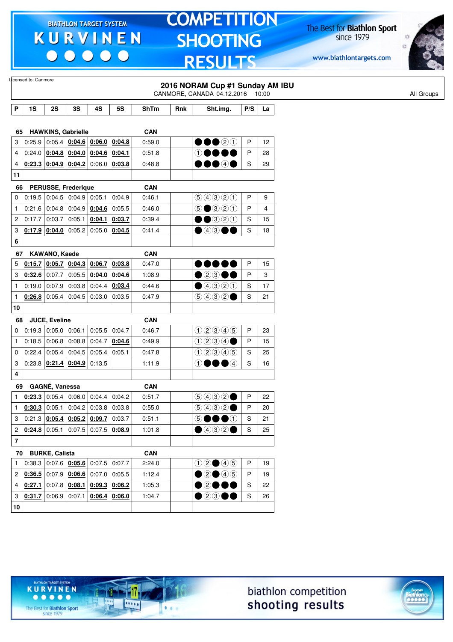$\begin{array}{c|c|c|c|c} \hline \bullet & \bullet & \bullet & \bullet & \bullet \end{array}$ 

# **TOMPETITION SHOOTING RESULTS**

The Best for **Biathlon Sport**<br>since 1979

www.biathlontargets.com



|                         | Licensed to: Canmore                             |                      |                                     |                                              |           |             |     | 2016 NORAM Cup #1 Sunday AM IBU<br>CANMORE, CANADA 04.12.2016 10:00 |     |    | All Groups |
|-------------------------|--------------------------------------------------|----------------------|-------------------------------------|----------------------------------------------|-----------|-------------|-----|---------------------------------------------------------------------|-----|----|------------|
| P                       | 1S                                               | 2S                   | 3S                                  | 4S                                           | <b>5S</b> | <b>ShTm</b> | Rnk | Sht.img.                                                            | P/S | La |            |
|                         |                                                  |                      |                                     |                                              |           |             |     |                                                                     |     |    |            |
| 65                      |                                                  |                      | <b>HAWKINS, Gabrielle</b>           |                                              |           | <b>CAN</b>  |     |                                                                     |     |    |            |
| 3                       | 0:25.9                                           |                      |                                     | 0:05.4 0:04.6 0:06.0 0:04.8                  |           | 0:59.0      |     | 00020                                                               | P   | 12 |            |
| 4                       |                                                  |                      |                                     | 0.24.0   0.04.8   0.04.0   0.04.6            | 0:04.1    | 0:51.8      |     | $\odot$                                                             | P   | 28 |            |
| 4                       |                                                  |                      |                                     | $0.23.3$ 0.04.9 0.04.2 0.06.0 0.03.8         |           | 0:48.8      |     | ●●●④●                                                               | S   | 29 |            |
| 11                      |                                                  |                      |                                     |                                              |           |             |     |                                                                     |     |    |            |
| 66                      |                                                  |                      | <b>PERUSSE, Frederique</b>          |                                              |           | <b>CAN</b>  |     |                                                                     |     |    |            |
| 0                       |                                                  |                      |                                     | $0.19.5$ 0.04.5 0.04.9 0.05.1                | 0:04.9    | 0:46.1      |     | 99900                                                               | P   | 9  |            |
| 1                       |                                                  |                      |                                     | $0.21.6$ 0.04.8 0.04.9 0.04.6                | 0:05.5    | 0:46.0      |     | $\bigcirc$ $\bigcirc$ $\bigcirc$ $\bigcirc$ $\bigcirc$              | P   | 4  |            |
| 2                       | 0:17.7                                           | 0:03.7               | 0:05.1                              | 0:04.1                                       | 0:03.7    | 0:39.4      |     | $\bullet$ $\bullet$ 3 2 0                                           | S   | 15 |            |
| 3                       | $0.17.9$ 0.04.0                                  |                      |                                     | $0:05.2$ 0:05.0 0:04.5                       |           | 0:41.4      |     | $\bullet$ 43<br>$\rightarrow$                                       | S   | 18 |            |
| 6                       |                                                  |                      |                                     |                                              |           |             |     |                                                                     |     |    |            |
| 67                      |                                                  | KAWANO, Kaede        |                                     |                                              |           | <b>CAN</b>  |     |                                                                     |     |    |            |
| 5                       |                                                  |                      |                                     | 0.15.7   0.05.7   0.04.3   0.06.7            | 0:03.8    | 0:47.0      |     | DO 80                                                               | P   | 15 |            |
| 3                       | $0.32.6$ 0:07.7                                  |                      |                                     | $0:05.5$ 0:04.0 0:04.6                       |           | 1:08.9      |     | $\bullet$ 2300                                                      | P   | 3  |            |
| $\mathbf{1}$            | 0:19.0                                           | 0:07.9               | 0:03.8                              | 0:04.4                                       | 0:03.4    | 0.44.6      |     | $\bigcirc$ 4320                                                     | S   | 17 |            |
| $\mathbf{1}$            |                                                  |                      |                                     | $0.26.8$ 0.05.4 0.04.5 0.03.0 0.03.5         |           | 0:47.9      |     | (50000)                                                             | S   | 21 |            |
| 10                      |                                                  |                      |                                     |                                              |           |             |     |                                                                     |     |    |            |
| 68                      |                                                  | <b>JUCE, Eveline</b> |                                     |                                              |           | <b>CAN</b>  |     |                                                                     |     |    |            |
| 0                       | $0:19.3$ 0:05.0 0:06.1                           |                      |                                     | $0:05.5$ 0:04.7                              |           | 0:46.7      |     | 02345                                                               | P   | 23 |            |
| $\mathbf{1}$            | $0:18.5$ 0:06.8                                  |                      | 0:08.8                              | 0:04.7                                       | 0:04.6    | 0:49.9      |     | 0234                                                                | P   | 15 |            |
| 0                       |                                                  |                      |                                     | $0.22.4$   0.05.4   0.04.5   0.05.4          | 0:05.1    | 0:47.8      |     | 02905                                                               | S   | 25 |            |
| 3                       |                                                  |                      | $0.23.8$   0.21.4   0.04.9   0.13.5 |                                              |           | 1:11.9      |     | $\bullet$<br>$\odot$<br>DO                                          | S   | 16 |            |
| 4                       |                                                  |                      |                                     |                                              |           |             |     |                                                                     |     |    |            |
| 69                      |                                                  | GAGNÉ, Vanessa       |                                     |                                              |           | <b>CAN</b>  |     |                                                                     |     |    |            |
| 1                       |                                                  |                      | $0.23.3$ 0.05.4 0.06.0              | 0:04.4                                       | 0:04.2    | 0:51.7      |     | 9992                                                                | P   | 22 |            |
| $\mathbf{1}$            | 0:30.3                                           | 0:05.1               |                                     | $0:04.2$ 0:03.8                              | 0:03.8    | 0:55.0      |     | (5)(4)(3)(2)                                                        | P   | 20 |            |
|                         | 3   0:21.3   0:05.4   0:05.2   0:09.7   0:03.7   |                      |                                     |                                              |           | 0:51.1      |     | 50000                                                               | S   | 21 |            |
|                         | $2   0:24.8   0:05.1   0:07.5   0:07.5   0:08.9$ |                      |                                     |                                              |           | 1:01.8      |     | $\bigcirc$ 4320                                                     | S   | 25 |            |
| $\overline{\mathbf{r}}$ |                                                  |                      |                                     |                                              |           |             |     |                                                                     |     |    |            |
|                         | 70 BURKE, Calista                                |                      |                                     |                                              |           | <b>CAN</b>  |     |                                                                     |     |    |            |
| $\mathbf{1}$            |                                                  |                      |                                     | $0:38.3   0:07.6   0:05.6   0:07.5   0:07.7$ |           | 2:24.0      |     | $02 \bullet 45$                                                     | P   | 19 |            |
|                         | $2   0:36.5   0:07.9   0:06.6   0:07.0   0:05.5$ |                      |                                     |                                              |           | 1:12.4      |     | $\bigcirc$ 20 46                                                    | P   | 19 |            |
| 4                       |                                                  |                      |                                     | $0.27.1$ 0.07.8 $0.08.1$ 0.09.3 0.06.2       |           | 1:05.3      |     | 00000                                                               | S   | 22 |            |
| 3                       | $0.31.7$ 0.06.9 0.07.1                           |                      |                                     | $0.06.4$ 0.06.0                              |           | 1:04.7      |     | $\bullet$ 2300                                                      | S   | 26 |            |
| $10\,$                  |                                                  |                      |                                     |                                              |           |             |     |                                                                     |     |    |            |



-17

 $\overline{\cdots}$ 

 $1.1.1$ 

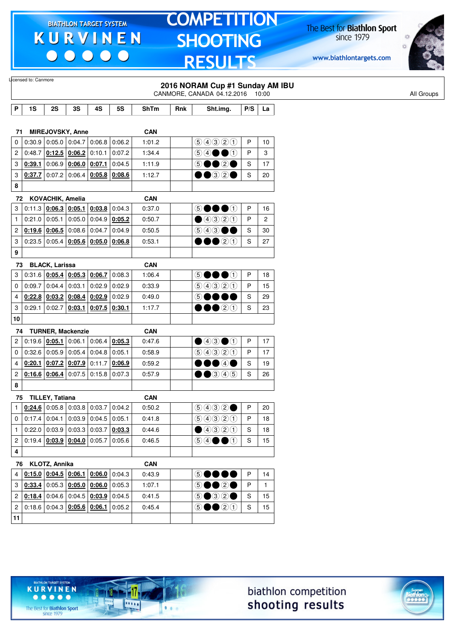$\begin{array}{c|c|c|c|c} \hline \bullet & \bullet & \bullet & \bullet & \bullet \end{array}$ 

# **TOMPETITION SHOOTING RESULTS**

The Best for **Biathlon Sport**<br>since 1979

www.biathlontargets.com



|                | Licensed to: Canmore            |                        |                                   |                                                                    |           |            |     | 2016 NORAM Cup #1 Sunday AM IBU<br>CANMORE, CANADA 04.12.2016 10:00                                                                                                                                                                           |     |                |
|----------------|---------------------------------|------------------------|-----------------------------------|--------------------------------------------------------------------|-----------|------------|-----|-----------------------------------------------------------------------------------------------------------------------------------------------------------------------------------------------------------------------------------------------|-----|----------------|
| P              | 1S                              | 2S                     | 3S                                | 4S                                                                 | <b>5S</b> | ShTm       | Rnk | Sht.img.                                                                                                                                                                                                                                      | P/S | La             |
|                |                                 |                        |                                   |                                                                    |           |            |     |                                                                                                                                                                                                                                               |     |                |
| 71             |                                 |                        | MIREJOVSKY, Anne                  |                                                                    |           | <b>CAN</b> |     |                                                                                                                                                                                                                                               |     |                |
| 0              |                                 |                        | $0:30.9$ 0:05.0 0:04.7            | 0:06.8                                                             | 0:06.2    | 1:01.2     |     | 90000                                                                                                                                                                                                                                         | P   | 10             |
| 2              | 0:48.7                          |                        | $0:12.5$ 0:06.2                   | 0:10.1                                                             | 0:07.2    | 1:34.4     |     | $\circledcirc \bullet \bullet \bullet$                                                                                                                                                                                                        | P   | 3              |
| 3              | 0:39.1                          |                        | $0.06.9$ 0.06.0 0.07.1            |                                                                    | 0:04.5    | 1:11.9     |     | 00 20<br>$\circledS$                                                                                                                                                                                                                          | S   | 17             |
| 3              | 0:37.7                          | 0:07.2                 |                                   | $0:06.4$ 0:05.8                                                    | 0:08.6    | 1:12.7     |     | ••32•                                                                                                                                                                                                                                         | S   | 20             |
| 8              |                                 |                        |                                   |                                                                    |           |            |     |                                                                                                                                                                                                                                               |     |                |
| 72             |                                 | KOVACHIK, Amelia       |                                   |                                                                    |           | <b>CAN</b> |     |                                                                                                                                                                                                                                               |     |                |
| 3              | 0:11.3                          |                        | $0.06.3$ 0.05.1                   | 0:03.8                                                             | 0:04.3    | 0:37.0     |     | 50000                                                                                                                                                                                                                                         | P   | 16             |
| $\mathbf{1}$   |                                 |                        | $0:21.0$ 0:05.1 0:05.0            | 0:04.9                                                             | 0:05.2    | 0:50.7     |     | $\bigcirc$ 4320                                                                                                                                                                                                                               | P   | $\overline{c}$ |
| 2              | 0:19.6                          | 0:06.5                 | 0:08.6                            | 0:04.7                                                             | 0:04.9    | 0:50.5     |     | 900                                                                                                                                                                                                                                           | S   | 30             |
| 3              |                                 | $0:23.5$ 0:05.4        |                                   | $0:05.6$ 0:05.0                                                    | 0:06.8    | 0:53.1     |     | 00020                                                                                                                                                                                                                                         | S   | 27             |
| 9              |                                 |                        |                                   |                                                                    |           |            |     |                                                                                                                                                                                                                                               |     |                |
| 73             |                                 | <b>BLACK, Larissa</b>  |                                   |                                                                    |           | <b>CAN</b> |     |                                                                                                                                                                                                                                               |     |                |
| 3              |                                 |                        | $0.31.6$ $0.05.4$ $0.05.3$ 0.06.7 |                                                                    | 0:08.3    | 1:06.4     |     | $\circledS$<br>DOOO                                                                                                                                                                                                                           | Ρ   | 18             |
| 0              | 0:09.7                          | 0:04.4                 | 0:03.1                            | 0:02.9                                                             | 0:02.9    | 0:33.9     |     | 99900                                                                                                                                                                                                                                         | P   | 15             |
| 4              |                                 |                        |                                   | $0.22.8$ 0.03.2 0.08.4 0.02.9                                      | 0:02.9    | 0:49.0     |     | $\circledS$<br>and the second second second second second second second second second second second second second second second second second second second second second second second second second second second second second second seco | S   | 29             |
| 3              | 0:29.1                          | 0:02.7                 | 0:03.1                            | 0:07.5                                                             | 0:30.1    | 1:17.7     |     | 00020                                                                                                                                                                                                                                         | S   | 23             |
| 10             |                                 |                        |                                   |                                                                    |           |            |     |                                                                                                                                                                                                                                               |     |                |
| 74             |                                 |                        | <b>TURNER, Mackenzie</b>          |                                                                    |           | <b>CAN</b> |     |                                                                                                                                                                                                                                               |     |                |
| 2              | 0:19.6                          | 0:05.1                 | 0:06.1                            | 0:06.4                                                             | 0:05.3    | 0:47.6     |     | $\bigcirc$ 4300                                                                                                                                                                                                                               | P   | 17             |
| 0              |                                 |                        | 0.32.6   0.05.9   0.05.4          | 0:04.8                                                             | 0:05.1    | 0:58.9     |     | 9990                                                                                                                                                                                                                                          | P   | 17             |
| 4              | 0:20.1                          |                        | $0.07.2$ 0.07.9                   | 0:11.7                                                             | 0:06.9    | 0:59.2     |     | DO④O                                                                                                                                                                                                                                          | S   | 19             |
| 2              |                                 | $0:16.6$ 0:06.4        | 0:07.5                            | 0:15.8                                                             | 0:07.3    | 0:57.9     |     | $\bullet$ 3 4 5                                                                                                                                                                                                                               | S   | 26             |
| 8              |                                 |                        |                                   |                                                                    |           |            |     |                                                                                                                                                                                                                                               |     |                |
| 75             |                                 | <b>TILLEY, Tatiana</b> |                                   |                                                                    |           | <b>CAN</b> |     |                                                                                                                                                                                                                                               |     |                |
| 1              |                                 |                        |                                   | $0.24.6$ 0.05.8 0.03.8 0.03.7                                      | 0:04.2    | 0:50.2     |     | 9992                                                                                                                                                                                                                                          | P   | 20             |
| 0              |                                 |                        |                                   | $\vert 0.17.4 \vert 0.04.1 \vert 0.03.9 \vert 0.04.5 \vert 0.05.1$ |           | 0:41.8     |     | 9990                                                                                                                                                                                                                                          | Ρ   | 18             |
| $\mathbf{1}$   |                                 |                        |                                   | $0.22.0$ 0.03.9 0.03.3 0.03.7                                      | 0:03.3    | 0:44.6     |     | ④④③①                                                                                                                                                                                                                                          | S   | 18             |
|                | 2 0:19.4 $0.03.9 0.04.0 0.05.7$ |                        |                                   |                                                                    | 0:05.6    | 0:46.5     |     | $\circledcirc \bullet \bullet \bullet$                                                                                                                                                                                                        | S   | 15             |
| 4              |                                 |                        |                                   |                                                                    |           |            |     |                                                                                                                                                                                                                                               |     |                |
|                | 76 KLOTZ, Annika                |                        |                                   |                                                                    |           | <b>CAN</b> |     |                                                                                                                                                                                                                                               |     |                |
| 4              |                                 |                        |                                   | 0.15.0   0.04.5   0.06.1   0.06.0                                  | 0:04.3    | 0:43.9     |     | 60000                                                                                                                                                                                                                                         | P   | 14             |
| 3              |                                 |                        |                                   | $0.33.4$ 0:05.3 $0.05.0$ 0:06.0                                    | 0:05.3    | 1:07.1     |     | 5●●2●                                                                                                                                                                                                                                         | P   | $\mathbf{1}$   |
|                |                                 |                        |                                   | 2   0.18.4   0.04.6   0.04.5   0.03.9                              | 0:04.5    | 0:41.5     |     | $\circledcirc \bullet \circledcirc \circ \bullet$                                                                                                                                                                                             | S   | 15             |
| $\overline{c}$ |                                 |                        |                                   | $0.18.6   0.04.3   0.05.6   0.06.1   0.05.2$                       |           | 0:45.4     |     | $\odot \bullet \bullet$ 20                                                                                                                                                                                                                    | S   | 15             |
| 11             |                                 |                        |                                   |                                                                    |           |            |     |                                                                                                                                                                                                                                               |     |                |
|                |                                 |                        |                                   |                                                                    |           |            |     |                                                                                                                                                                                                                                               |     |                |





 $• • • • •$ The Best for **Biathlon Sport**<br>since 1979

TARGET SYSTEM

17

11111

 $1.1.1$ 

**KURVINEN**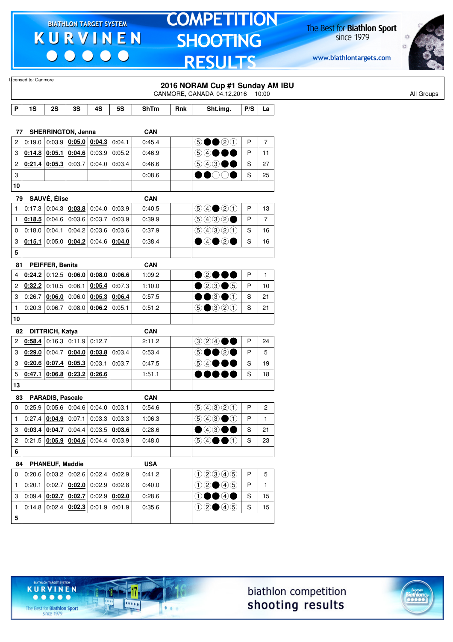$\begin{array}{c|c|c|c|c} \hline \bullet & \bullet & \bullet & \bullet & \bullet \end{array}$ 

### **TOMPETITION** SHOOTING **RESULTS**

The Best for **Biathlon Sport**<br>since 1979

www.biathlontargets.com



|                           | Llicensed to: Canmore |                               |        |                                          |                                      |             |     | 2016 NORAM Cup #1 Sunday AM IBU                                           |     |                |            |
|---------------------------|-----------------------|-------------------------------|--------|------------------------------------------|--------------------------------------|-------------|-----|---------------------------------------------------------------------------|-----|----------------|------------|
|                           |                       |                               |        |                                          |                                      |             |     | CANMORE, CANADA 04.12.2016 10:00                                          |     |                | All Groups |
| P                         | 1S                    | 2S                            | 3S     | 4S                                       | 5S                                   | <b>ShTm</b> | Rnk | Sht.img.                                                                  | P/S | La             |            |
|                           |                       |                               |        |                                          |                                      |             |     |                                                                           |     |                |            |
| 77                        |                       | <b>SHERRINGTON, Jenna</b>     |        |                                          |                                      | <b>CAN</b>  |     |                                                                           |     |                |            |
| 2                         | 0:19.0                |                               |        | $0.03.9$ 0.05.0 0.04.3                   | 0:04.1                               | 0:45.4      |     | $\circledcirc \bullet \bullet \circledcirc \circledcirc$                  | P   | $\overline{7}$ |            |
| 3                         |                       | $0:14.8$ 0:05.1               |        | $0:04.6$ 0:03.9                          | 0:05.2                               | 0:46.9      |     | $\bigcirc$ $\bigcirc$                                                     | P   | 11             |            |
| 2                         |                       | $0:21.4$ 0:05.3               | 0:03.7 | 0.04.0                                   | 0:03.4                               | 0.46.6      |     | $\circledcirc$ $\bullet$ $\bullet$                                        | S   | 27             |            |
| $\ensuremath{\mathsf{3}}$ |                       |                               |        |                                          |                                      | 0:08.6      |     | $\bullet$ ooo                                                             | S   | 25             |            |
| 10                        |                       |                               |        |                                          |                                      |             |     |                                                                           |     |                |            |
| 79                        |                       | SAUVÉ, Élise                  |        |                                          |                                      | <b>CAN</b>  |     |                                                                           |     |                |            |
| $\mathbf{1}$              | 0:17.3                |                               |        | $0.04.3$ 0.03.8 0.04.0                   | 0:03.9                               | 0:40.5      |     | $\bigcirc \bigcirc \bigcirc \bigcirc \bigcirc \bigcirc \bigcirc \bigcirc$ | P   | 13             |            |
| $\mathbf{1}$              | 0:18.5                |                               |        | $0.04.6$ 0.03.6 0.03.7                   | 0:03.9                               | 0:39.9      |     | $\bigcirc \bigcirc \bigcirc \bigcirc \bigcirc \bigcirc \bullet$           | P   | $\overline{7}$ |            |
| 0                         | 0:18.0                | 0:04.1                        | 0:04.2 | 0:03.6                                   | 0:03.6                               | 0:37.9      |     | 90300                                                                     | S   | 16             |            |
| 3                         | 0:15.1                |                               |        | $0.05.0$ $0.04.2$ $0.04.6$ $0.04.0$      |                                      | 0:38.4      |     | $\bullet$ 4020                                                            | S   | 16             |            |
| 5                         |                       |                               |        |                                          |                                      |             |     |                                                                           |     |                |            |
| 81                        |                       | PEIFFER, Benita               |        |                                          |                                      | <b>CAN</b>  |     |                                                                           |     |                |            |
| 4                         |                       |                               |        | $0.24.2$ 0:12.5 $0.06.0$ 0:08.0          | 0:06.6                               | 1:09.2      |     | •0•••                                                                     | P   | $\mathbf{1}$   |            |
| $\overline{c}$            | 0:32.2                | 0:10.5                        | 0:06.1 | 0:05.4                                   | 0:07.3                               | 1:10.0      |     | $023\textcolor{white}{\bullet}6$                                          | P   | 10             |            |
| 3                         | 0:26.7                | 0:06.0                        |        | $0:06.0$ 0:05.3                          | 0:06.4                               | 0:57.5      |     | ••••                                                                      | S   | 21             |            |
| $\mathbf{1}$              | 0:20.3                | 0:06.7                        |        | $0:08.0$ 0:06.2                          | 0:05.1                               | 0:51.2      |     | $\bigcirc$ $\bigcirc$ $\bigcirc$ $\bigcirc$ $\bigcirc$                    | S   | 21             |            |
| 10                        |                       |                               |        |                                          |                                      |             |     |                                                                           |     |                |            |
| 82                        |                       | DITTRICH, Katya               |        |                                          |                                      | <b>CAN</b>  |     |                                                                           |     |                |            |
| 2                         | 0:58.4                |                               |        | $0.16.3$ 0.11.9 0.12.7                   |                                      | 2:11.2      |     | $\textcircled{\scriptsize{3}\,2} \textcircled{\scriptsize{4}\,0}$         | P   | 24             |            |
| 3                         | 0:29.0                | 0:04.7                        |        | $0.04.0$ 0.03.8                          | 0:03.4                               | 0:53.4      |     | DOQO<br>$\circledS$                                                       | P   | 5              |            |
| 3                         |                       | $0:20.6$ 0:07.4 0:05.3 0:03.1 |        |                                          | 0:03.7                               | 0:47.5      |     | $\circledcirc$ $\bullet$                                                  | S   | 19             |            |
| 5                         | 0:47.1                |                               |        | $0.06.8$ 0.23.2 0.26.6                   |                                      | 1:51.1      |     |                                                                           | S   | 18             |            |
| 13                        |                       |                               |        |                                          |                                      |             |     |                                                                           |     |                |            |
| 83                        |                       | <b>PARADIS, Pascale</b>       |        |                                          |                                      | <b>CAN</b>  |     |                                                                           |     |                |            |
| 0                         |                       |                               |        |                                          | $0.25.9$ 0.05.6 0.04.6 0.04.0 0.03.1 | 0:54.6      |     | 60000                                                                     | P   | $\mathbf 2$    |            |
| $\mathbf{1}$              |                       |                               |        | $0.27.4$ $0.04.9$ 0.07.1 0.03.3 0.03.3   |                                      | 1:06.3      |     | $\bigcirc$ 4 $\bigcirc$ $\bigcirc$ $\bigcirc$                             | P   | $\mathbf{1}$   |            |
| 3                         |                       |                               |        | $0.03.4$ $0.04.7$ 0.04.4 0.03.5 0.03.6   |                                      | 0:28.6      |     | $\bullet$ 4300                                                            | S   | 21             |            |
| 2                         |                       |                               |        | $0.21.5$ $0.05.9$ $0.04.6$ 0.04.4 0.03.9 |                                      | 0:48.0      |     | $\circledcirc \bullet \bullet \bullet$                                    | S   | 23             |            |
| 6                         |                       |                               |        |                                          |                                      |             |     |                                                                           |     |                |            |
|                           |                       | 84 PHANEUF, Maddie            |        |                                          |                                      | <b>USA</b>  |     |                                                                           |     |                |            |
| 0                         |                       |                               |        | $0.20.6$ 0.03.2 0.02.6 0.02.4 0.02.9     |                                      | 0:41.2      |     | 02345                                                                     | P   | 5              |            |
| $\mathbf{1}$              |                       |                               |        | $0:20.1$ 0:02.7 $0:02.0$ 0:02.9 0:02.8   |                                      | 0:40.0      |     | $02 \bullet 45$                                                           | P   | $\mathbf{1}$   |            |
| 3                         |                       |                               |        | $0.09.4$ $0.02.7$ $0.02.7$ 0.02.9 0.02.0 |                                      | 0:28.6      |     | $\mathbf{0} \bullet \mathbf{0} \bullet \mathbf{0}$                        | S   | 15             |            |
| $\mathbf{1}$              |                       |                               |        | $0.14.8$ 0.02.4 $0.02.3$ 0.01.9 0.01.9   |                                      | 0:35.6      |     | 02005                                                                     | S   | 15             |            |
| ${\bf 5}$                 |                       |                               |        |                                          |                                      |             |     |                                                                           |     |                |            |





The Best for **Biathlon Sport**<br>since 1979

TARGET SYSTEM

17

.....

 $1.1.1$ 

**KURVINEN** 

 $\begin{array}{ccccccccccccccccc} \bullet & \bullet & \bullet & \bullet & \bullet & \bullet & \bullet \end{array}$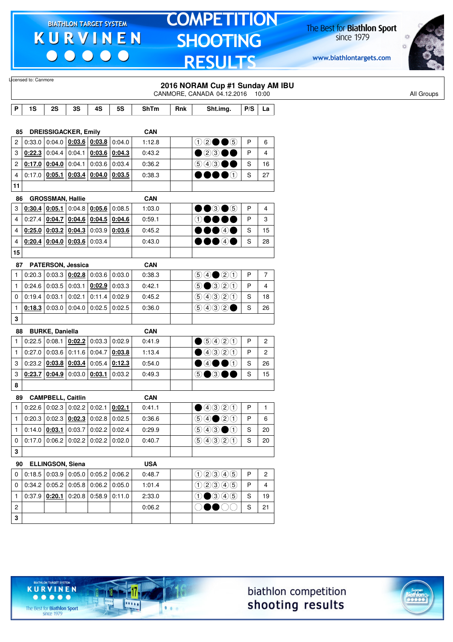$\begin{array}{c|c|c|c|c} \hline \bullet & \bullet & \bullet & \bullet & \bullet \end{array}$ 

# **TOMPETITION SHOOTING RESULTS**

The Best for **Biathlon Sport**<br>since 1979

www.biathlontargets.com



|              | Licensed to: Canmore                                               |                          |                                                             |        |           |            |     |                                                                                        |     |                |
|--------------|--------------------------------------------------------------------|--------------------------|-------------------------------------------------------------|--------|-----------|------------|-----|----------------------------------------------------------------------------------------|-----|----------------|
|              |                                                                    |                          |                                                             |        |           |            |     | 2016 NORAM Cup #1 Sunday AM IBU<br>CANMORE, CANADA 04.12.2016 10:00                    |     |                |
|              |                                                                    |                          |                                                             |        |           |            |     |                                                                                        |     |                |
| P            | 1S                                                                 | 2S                       | 3S                                                          | 4S     | <b>5S</b> | ShTm       | Rnk | Sht.img.                                                                               | P/S | La             |
|              |                                                                    |                          |                                                             |        |           |            |     |                                                                                        |     |                |
| 85           |                                                                    |                          | <b>DREISSIGACKER, Emily</b>                                 |        |           | <b>CAN</b> |     |                                                                                        |     |                |
| 2            | 0:33.0                                                             |                          | $\vert$ 0:04.0 $\vert$ 0:03.6 $\vert$ 0:03.8 $\vert$ 0:04.0 |        |           | 1:12.8     |     | $02 \bullet 6$                                                                         | P   | 6              |
| 3            | $0:22.3$ 0:04.4                                                    |                          | 0:04.1                                                      | 0:03.6 | 0:04.3    | 0:43.2     |     | ●23●●                                                                                  | P   | 4              |
| 2            |                                                                    | $0:17.0$ 0:04.0          | 0:04.1                                                      | 0:03.6 | 0:03.4    | 0:36.2     |     | $\circledcirc$ 4300                                                                    | S   | 16             |
| 4            |                                                                    |                          | $0.17.0$ $0.05.1$ $0.03.4$ $0.04.0$                         |        | 0:03.5    | 0:38.3     |     | DOOO                                                                                   | S   | 27             |
| 11           |                                                                    |                          |                                                             |        |           |            |     |                                                                                        |     |                |
| 86           |                                                                    | <b>GROSSMAN, Hallie</b>  |                                                             |        |           | <b>CAN</b> |     |                                                                                        |     |                |
| 3            | 0:30.4                                                             |                          | $0.05.1$ 0:04.8 $0.05.6$ 0:08.5                             |        |           | 1:03.0     |     | $\bullet\bullet$ 3 $\bullet$ 5                                                         | P   | 4              |
| 4            | $0.27.4$ 0.04.7 0.04.6 0.04.5                                      |                          |                                                             |        | 0:04.6    | 0:59.1     |     | $\circledcirc\bullet\bullet$                                                           | P   | 3              |
| 4            |                                                                    |                          | $0.25.0$ 0.03.2 0.04.3                                      | 0:03.9 | 0:03.6    | 0:45.2     |     | 00040                                                                                  | S   | 15             |
| 4            |                                                                    |                          | $0:20.4$ 0:04.0 0:03.6                                      | 0:03.4 |           | 0:43.0     |     | 00040                                                                                  | S   | 28             |
| 15           |                                                                    |                          |                                                             |        |           |            |     |                                                                                        |     |                |
| 87           |                                                                    |                          | PATERSON, Jessica                                           |        |           | <b>CAN</b> |     |                                                                                        |     |                |
| $\mathbf{1}$ |                                                                    |                          | $0:20.3$ 0:03.3 $0:02.8$ 0:03.6 0:03.0                      |        |           | 0:38.3     |     | $\bigcirc \bigcirc \bigcirc \bigcirc \bigcirc \bigcirc \bigcirc$                       | Ρ   | $\overline{7}$ |
| $\mathbf{1}$ |                                                                    | $0:24.6$ 0:03.5          | 0:03.1                                                      | 0:02.9 | 0:03.3    | 0:42.1     |     | $\bigcirc$ $\bigcirc$ $\bigcirc$ $\bigcirc$ $\bigcirc$                                 | P   | 4              |
| 0            | 0:19.4                                                             | 0:03.1                   | 0:02.1                                                      | 0:11.4 | 0:02.9    | 0:45.2     |     | 9990                                                                                   | S   | 18             |
| 1            |                                                                    | 0:18.3 0:03.0            | 0.04.0                                                      | 0:02.5 | 0:02.5    | 0:36.0     |     | 9992                                                                                   | S   | 26             |
| 3            |                                                                    |                          |                                                             |        |           |            |     |                                                                                        |     |                |
| 88           |                                                                    | <b>BURKE, Daniella</b>   |                                                             |        |           | <b>CAN</b> |     |                                                                                        |     |                |
| $\mathbf{1}$ |                                                                    |                          | 0:22.5   0:08.1   0:02.2                                    | 0:03.3 | 0:02.9    | 0:41.9     |     | $\bigcirc$ 5420                                                                        | P   | $\overline{c}$ |
| $\mathbf{1}$ | 0:27.0                                                             |                          | 0:03.6 0:11.6                                               | 0:04.7 | 0:03.8    | 1:13.4     |     | ①③③②                                                                                   | P   | $\overline{c}$ |
| 3            | 0:23.2                                                             |                          | $0.03.8$ 0.03.4                                             | 0:05.4 | 0:12.3    | 0:54.0     |     | $\bullet$ 4 $\bullet$ 0                                                                | S   | 26             |
| 3            | 0.23.7   0.04.9                                                    |                          | 0:03.0                                                      | 0:03.1 | 0:03.2    | 0:49.3     |     | 5●3●●                                                                                  | S   | 15             |
| 8            |                                                                    |                          |                                                             |        |           |            |     |                                                                                        |     |                |
| 89           |                                                                    | <b>CAMPBELL, Caitlin</b> |                                                             |        |           | <b>CAN</b> |     |                                                                                        |     |                |
| $\mathbf{1}$ |                                                                    |                          | $0:22.6$ 0:02.3 0:02.2 0:02.1 0:02.1                        |        |           | 0:41.1     |     | ④④③③①                                                                                  | P   | $\mathbf{1}$   |
| $\mathbf{1}$ | $0.20.3   0.02.3   0.02.3   0.02.8   0.02.5$                       |                          |                                                             |        |           | 0:36.6     |     | $\bigcirc \bigcirc \bigcirc \bigcirc \bigcirc \bigcirc \bigcirc$                       | P   | 6              |
| $\mathbf{1}$ | $0.14.0$ $0.03.1$ $0.03.7$ $0.02.2$ $0.02.4$                       |                          |                                                             |        |           | 0:29.9     |     | $\textcircled{\scriptsize{9}}\textcircled{\scriptsize{9}}\textcircled{\scriptsize{1}}$ | S   | 20             |
| 0            | $0.17.0$ 0.06.2 0.02.2 0.02.2 0.02.0                               |                          |                                                             |        |           | 0:40.7     |     | 9990                                                                                   | S   | 20             |
| 3            |                                                                    |                          |                                                             |        |           |            |     |                                                                                        |     |                |
|              |                                                                    |                          |                                                             |        |           |            |     |                                                                                        |     |                |
| 90           | $\vert 0.18.5 \vert 0.03.9 \vert 0.05.0 \vert 0.05.2 \vert 0.06.2$ | ELLINGSON, Siena         |                                                             |        |           | <b>USA</b> |     | (1000005)                                                                              | P   |                |
| 0            |                                                                    |                          |                                                             |        |           | 0:48.7     |     |                                                                                        |     | $\mathbf{2}$   |
| 0            | $0.34.2$ 0.05.2 0.05.8 0.06.2 0.05.0                               |                          |                                                             |        |           | 1:01.4     |     | 02345                                                                                  | P   | 4              |
| $\mathbf{1}$ |                                                                    |                          | $0.37.9$ $0.20.1$ 0.20.8 0.58.9                             |        | 0:11.0    | 2:33.0     |     | $0 \bigcirc 3 \bigcirc 5$                                                              | S   | 19             |
| 2            |                                                                    |                          |                                                             |        |           | 0:06.2     |     | 00000                                                                                  | S   | 21             |
| 3            |                                                                    |                          |                                                             |        |           |            |     |                                                                                        |     |                |





The Best for **Biathlon Sport**<br>since 1979

TARGET SYSTEM

17

.....

 $1.1.1$ 

**KURVINEN** 

 $\begin{array}{ccccccccccccccccc} \bullet & \bullet & \bullet & \bullet & \bullet & \bullet & \bullet \end{array}$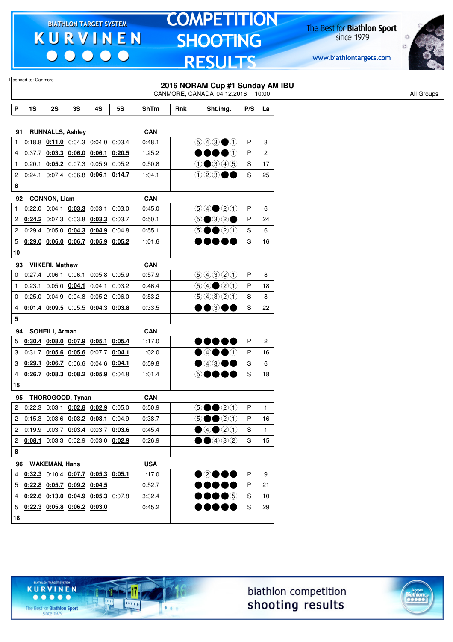$\begin{array}{c|c|c|c|c} \hline \bullet & \bullet & \bullet & \bullet & \bullet \end{array}$ 

# **TOMPETITION SHOOTING RESULTS**

The Best for **Biathlon Sport**<br>since 1979

www.biathlontargets.com



|                         | Licensed to: Canmore |                        |                                                             |                 |                 |             |     | 2016 NORAM Cup #1 Sunday AM IBU<br>CANMORE, CANADA 04.12.2016 10:00       |     |                       |
|-------------------------|----------------------|------------------------|-------------------------------------------------------------|-----------------|-----------------|-------------|-----|---------------------------------------------------------------------------|-----|-----------------------|
| P                       | 1S                   | 2S                     | 3S                                                          | 4S              | 5S              | <b>ShTm</b> | Rnk | Sht.img.                                                                  | P/S | La                    |
|                         |                      |                        |                                                             |                 |                 |             |     |                                                                           |     |                       |
| 91                      |                      |                        | <b>RUNNALLS, Ashley</b>                                     |                 |                 | <b>CAN</b>  |     |                                                                           |     |                       |
| $\mathbf{1}$            |                      |                        | $0.18.8$ $0.11.0$ $0.04.3$ $0.04.0$                         |                 | 0:03.4          | 0:48.1      |     | $\circledcirc$ $\bullet$ $\circledcirc$                                   | P   | 3                     |
| 4                       | 0:37.7               |                        | $0:03.3$ 0:06.0 0:06.1                                      |                 | 0:20.5          | 1:25.2      |     | $\bullet$<br>o a<br>$\mathbf{X}$                                          | P   | $\mathbf{2}$          |
| $\mathbf{1}$            | 0:20.1               |                        | $0.05.2$ 0.07.3 0.05.9                                      |                 | 0:05.2          | 0:50.8      |     | $\bullet$ 3 4 5<br>$\odot$                                                | S   | 17                    |
| $\overline{\mathbf{c}}$ | 0:24.1               |                        | $0.07.4$   0.06.8   0.06.1   0.14.7                         |                 |                 | 1:04.1      |     | ①②③                                                                       | S   | 25                    |
| 8                       |                      |                        |                                                             |                 |                 |             |     |                                                                           |     |                       |
| 92                      |                      | <b>CONNON, Liam</b>    |                                                             |                 |                 | <b>CAN</b>  |     |                                                                           |     |                       |
| $\mathbf{1}$            | 0:22.0               |                        | $0:04.1$ 0:03.3 0:03.1                                      |                 | 0:03.0          | 0:45.0      |     | $\bigcirc \bigcirc \bigcirc \bigcirc \bigcirc \bigcirc \bigcirc \bigcirc$ | P   | 6                     |
| 2                       | 0:24.2               |                        | 0.07.3   0.03.8   0.03.3                                    |                 | 0:03.7          | 0:50.1      |     | 5●32●                                                                     | P   | 24                    |
| $\overline{\mathbf{c}}$ | 0.29.4               |                        | $0:05.0$ $0:04.3$ $0:04.9$                                  |                 | 0:04.8          | 0:55.1      |     | 0020<br>$\circledS$                                                       | S   | 6                     |
| 5                       |                      |                        | $0.29.0$ 0.06.0 0.06.7 0.05.9 0.05.2                        |                 |                 | 1:01.6      |     | $\mathbf{D}$<br>DOC                                                       | S   | 16                    |
| 10                      |                      |                        |                                                             |                 |                 |             |     |                                                                           |     |                       |
| 93                      |                      | <b>VIIKERI, Mathew</b> |                                                             |                 |                 | <b>CAN</b>  |     |                                                                           |     |                       |
| 0                       | 0:27.4               | $0:06.1$ 0:06.1        |                                                             |                 | $0:05.8$ 0:05.9 | 0:57.9      |     | 99900                                                                     | P   | 8                     |
| $\mathbf{1}$            | 0:23.1               | $0:05.0$ 0:04.1        |                                                             | 0:04.1          | 0:03.2          | 0:46.4      |     | $\bigcirc \bigcirc \bigcirc \bigcirc \bigcirc \bigcirc$                   | P   | 18                    |
| 0                       | 0:25.0               |                        | $0.04.9$ 0.04.8 0.05.2                                      |                 | 0:06.0          | 0:53.2      |     | 9990                                                                      | S   | 8                     |
| 4                       | 0:01.4               |                        | $\vert$ 0:09.5 $\vert$ 0:05.5 $\vert$ 0:04.3 $\vert$ 0:03.8 |                 |                 | 0:33.5      |     | $\bullet\bullet$ 300                                                      | S   | 22                    |
| 5                       |                      |                        |                                                             |                 |                 |             |     |                                                                           |     |                       |
| 94                      |                      | SOHEILI, Arman         |                                                             |                 |                 | <b>CAN</b>  |     |                                                                           |     |                       |
| 5                       | 0:30.4               |                        | $\vert$ 0:08.0 $\vert$ 0:07.9 $\vert$ 0:05.1 $\vert$ 0:05.4 |                 |                 | 1:17.0      |     |                                                                           | P   | $\mathbf{2}^{\prime}$ |
| 3                       | 0:31.7               |                        | $0.05.6$ 0.05.6 0.07.7                                      |                 | 0:04.1          | 1:02.0      |     | 00000                                                                     | P   | 16                    |
| 3                       | 0:29.1               | 0:06.7                 | 0:06.6                                                      | $0.04.6$ 0:04.1 |                 | 0:59.8      |     | $\bullet$ 4300                                                            | S   | 6                     |
| 4                       | 0:26.7               |                        | $0.08.3$ 0.08.2 0.05.9                                      |                 | 0:04.8          | 1:01.4      |     | $\circledS$ (<br>$\mathbf{X}$                                             | S   | 18                    |
| 15                      |                      |                        |                                                             |                 |                 |             |     |                                                                           |     |                       |
| 95                      |                      |                        | THOROGOOD, Tynan                                            |                 |                 | <b>CAN</b>  |     |                                                                           |     |                       |
| $\mathbf{2}$            |                      |                        | $0.22.3   0.03.1   0.02.8   0.02.9   0.05.0$                |                 |                 | 0:50.9      |     | <b>⑤●●</b> ②①                                                             | P   | $\mathbf{1}$          |
| 2                       |                      |                        | $0:15.3   0:03.6   0:03.2   0:03.1   0:04.9$                |                 |                 | 0:38.7      |     | $\circledcirc$ $\bullet$ $\circledcirc$ $\circlearrowleft$                | P   | 16                    |
| $\overline{2}$          |                      |                        | $0.19.9 \mid 0.03.7 \mid 0.03.4 \mid 0.03.7 \mid 0.03.6$    |                 |                 | 0:45.4      |     | ④④③③                                                                      | S   | $\mathbf{1}$          |
| $\overline{2}$          |                      |                        | $0.08.1$ 0:03.3 0:02.9 0:03.0 0:02.9                        |                 |                 | 0:26.9      |     | $\bigcirc$ $\bigcirc$ $\bigcirc$ $\bigcirc$                               | S   | 15                    |
| 8                       |                      |                        |                                                             |                 |                 |             |     |                                                                           |     |                       |
|                         |                      |                        |                                                             |                 |                 |             |     |                                                                           |     |                       |
| 96                      |                      | <b>WAKEMAN, Hans</b>   |                                                             |                 |                 | <b>USA</b>  |     |                                                                           |     |                       |
| 4                       |                      |                        | $\left  \frac{0.32.3}{0.10.4} \right $ 0:07.7 0:05.3 0:05.1 |                 |                 | 1:17.0      |     | $\bullet$ 2000                                                            | P   | 9                     |
| 5                       |                      |                        | $0.22.8$ 0.05.7 0.09.2 0.04.5                               |                 |                 | 0:52.7      |     | $\bullet\bullet\bullet\bullet\bullet$                                     | P   | 21                    |
| 4                       |                      |                        | $0.22.6$ $0.13.0$ $0.04.9$ $0.05.3$ 0.07.8                  |                 |                 | 3:32.4      |     | $\bullet\bullet\bullet$ $\circ$                                           | S   | 10                    |
| 5                       |                      |                        | $0:22.3$ 0:05.8 0:06.2 0:03.0                               |                 |                 | 0:45.2      |     |                                                                           | S   | 29                    |
| 18                      |                      |                        |                                                             |                 |                 |             |     |                                                                           |     |                       |





The Best for **Biathlon Sport**<br>since 1979

TARGET SYSTEM

17

11111

 $1.1.1$ 

**KURVINEN**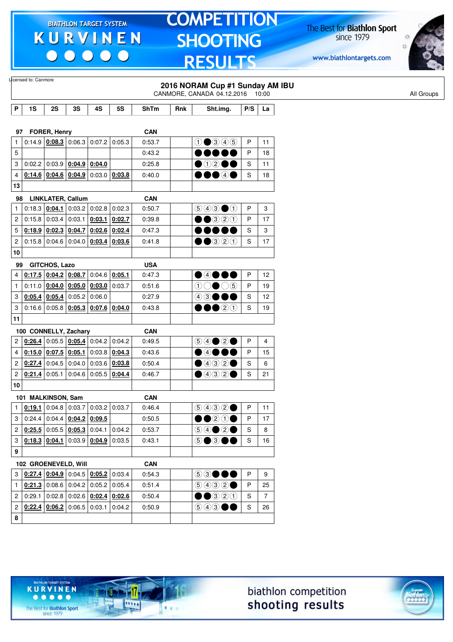$\begin{array}{c|c} \bullet & \bullet & \bullet & \bullet \end{array}$ 

### **TOMPETITION SHOOTING RESULTS**

The Best for **Biathlon Sport**<br>since 1979

www.biathlontargets.com



| Licensed to: Canmore |                                                                     |                            |                                                                                                                                                                                                                    |                                                                                                                                                                                                                                                   |                                                                                                                                                                                                                                                                                                                                                                                                                                                                                                                                                                                                                                                                                                                                                                             |                                                                                                                                        |                                                                     |                                                                                                                                                                                                                                                                                                                                                                                                                                                                                                                                  |                                 |
|----------------------|---------------------------------------------------------------------|----------------------------|--------------------------------------------------------------------------------------------------------------------------------------------------------------------------------------------------------------------|---------------------------------------------------------------------------------------------------------------------------------------------------------------------------------------------------------------------------------------------------|-----------------------------------------------------------------------------------------------------------------------------------------------------------------------------------------------------------------------------------------------------------------------------------------------------------------------------------------------------------------------------------------------------------------------------------------------------------------------------------------------------------------------------------------------------------------------------------------------------------------------------------------------------------------------------------------------------------------------------------------------------------------------------|----------------------------------------------------------------------------------------------------------------------------------------|---------------------------------------------------------------------|----------------------------------------------------------------------------------------------------------------------------------------------------------------------------------------------------------------------------------------------------------------------------------------------------------------------------------------------------------------------------------------------------------------------------------------------------------------------------------------------------------------------------------|---------------------------------|
|                      |                                                                     |                            |                                                                                                                                                                                                                    |                                                                                                                                                                                                                                                   |                                                                                                                                                                                                                                                                                                                                                                                                                                                                                                                                                                                                                                                                                                                                                                             |                                                                                                                                        | 2016 NORAM Cup #1 Sunday AM IBU<br>CANMORE, CANADA 04.12.2016 10:00 |                                                                                                                                                                                                                                                                                                                                                                                                                                                                                                                                  |                                 |
|                      |                                                                     |                            |                                                                                                                                                                                                                    |                                                                                                                                                                                                                                                   |                                                                                                                                                                                                                                                                                                                                                                                                                                                                                                                                                                                                                                                                                                                                                                             |                                                                                                                                        |                                                                     |                                                                                                                                                                                                                                                                                                                                                                                                                                                                                                                                  |                                 |
| 1S                   | 2S                                                                  | 3S                         | 4S                                                                                                                                                                                                                 | 5S                                                                                                                                                                                                                                                | <b>ShTm</b>                                                                                                                                                                                                                                                                                                                                                                                                                                                                                                                                                                                                                                                                                                                                                                 | Rnk                                                                                                                                    | Sht.img.                                                            | P/S                                                                                                                                                                                                                                                                                                                                                                                                                                                                                                                              | La                              |
|                      |                                                                     |                            |                                                                                                                                                                                                                    |                                                                                                                                                                                                                                                   |                                                                                                                                                                                                                                                                                                                                                                                                                                                                                                                                                                                                                                                                                                                                                                             |                                                                                                                                        |                                                                     |                                                                                                                                                                                                                                                                                                                                                                                                                                                                                                                                  |                                 |
|                      |                                                                     |                            |                                                                                                                                                                                                                    |                                                                                                                                                                                                                                                   | <b>CAN</b>                                                                                                                                                                                                                                                                                                                                                                                                                                                                                                                                                                                                                                                                                                                                                                  |                                                                                                                                        |                                                                     |                                                                                                                                                                                                                                                                                                                                                                                                                                                                                                                                  |                                 |
|                      |                                                                     |                            |                                                                                                                                                                                                                    |                                                                                                                                                                                                                                                   | 0:53.7                                                                                                                                                                                                                                                                                                                                                                                                                                                                                                                                                                                                                                                                                                                                                                      |                                                                                                                                        |                                                                     | P                                                                                                                                                                                                                                                                                                                                                                                                                                                                                                                                | 11                              |
|                      |                                                                     |                            |                                                                                                                                                                                                                    |                                                                                                                                                                                                                                                   | 0:43.2                                                                                                                                                                                                                                                                                                                                                                                                                                                                                                                                                                                                                                                                                                                                                                      |                                                                                                                                        |                                                                     | P                                                                                                                                                                                                                                                                                                                                                                                                                                                                                                                                | 18                              |
|                      |                                                                     |                            |                                                                                                                                                                                                                    |                                                                                                                                                                                                                                                   | 0:25.8                                                                                                                                                                                                                                                                                                                                                                                                                                                                                                                                                                                                                                                                                                                                                                      |                                                                                                                                        |                                                                     | S                                                                                                                                                                                                                                                                                                                                                                                                                                                                                                                                | 11                              |
|                      |                                                                     |                            |                                                                                                                                                                                                                    |                                                                                                                                                                                                                                                   | 0.40.0                                                                                                                                                                                                                                                                                                                                                                                                                                                                                                                                                                                                                                                                                                                                                                      |                                                                                                                                        |                                                                     | S                                                                                                                                                                                                                                                                                                                                                                                                                                                                                                                                | 18                              |
|                      |                                                                     |                            |                                                                                                                                                                                                                    |                                                                                                                                                                                                                                                   |                                                                                                                                                                                                                                                                                                                                                                                                                                                                                                                                                                                                                                                                                                                                                                             |                                                                                                                                        |                                                                     |                                                                                                                                                                                                                                                                                                                                                                                                                                                                                                                                  |                                 |
|                      |                                                                     |                            |                                                                                                                                                                                                                    |                                                                                                                                                                                                                                                   | <b>CAN</b>                                                                                                                                                                                                                                                                                                                                                                                                                                                                                                                                                                                                                                                                                                                                                                  |                                                                                                                                        |                                                                     |                                                                                                                                                                                                                                                                                                                                                                                                                                                                                                                                  |                                 |
|                      |                                                                     |                            |                                                                                                                                                                                                                    |                                                                                                                                                                                                                                                   | 0:50.7                                                                                                                                                                                                                                                                                                                                                                                                                                                                                                                                                                                                                                                                                                                                                                      |                                                                                                                                        | $\bigcirc$ $\bigcirc$ $\bigcirc$ $\bigcirc$                         | P                                                                                                                                                                                                                                                                                                                                                                                                                                                                                                                                | 3                               |
|                      |                                                                     |                            |                                                                                                                                                                                                                    |                                                                                                                                                                                                                                                   | 0:39.8                                                                                                                                                                                                                                                                                                                                                                                                                                                                                                                                                                                                                                                                                                                                                                      |                                                                                                                                        | $\bullet$ 320                                                       | P                                                                                                                                                                                                                                                                                                                                                                                                                                                                                                                                | 17                              |
|                      |                                                                     |                            |                                                                                                                                                                                                                    | 0:02.4                                                                                                                                                                                                                                            | 0:47.3                                                                                                                                                                                                                                                                                                                                                                                                                                                                                                                                                                                                                                                                                                                                                                      |                                                                                                                                        | DOOL                                                                | S                                                                                                                                                                                                                                                                                                                                                                                                                                                                                                                                | 3                               |
|                      |                                                                     |                            |                                                                                                                                                                                                                    | 0:03.6                                                                                                                                                                                                                                            | 0:41.8                                                                                                                                                                                                                                                                                                                                                                                                                                                                                                                                                                                                                                                                                                                                                                      |                                                                                                                                        |                                                                     | S                                                                                                                                                                                                                                                                                                                                                                                                                                                                                                                                | 17                              |
|                      |                                                                     |                            |                                                                                                                                                                                                                    |                                                                                                                                                                                                                                                   |                                                                                                                                                                                                                                                                                                                                                                                                                                                                                                                                                                                                                                                                                                                                                                             |                                                                                                                                        |                                                                     |                                                                                                                                                                                                                                                                                                                                                                                                                                                                                                                                  |                                 |
|                      |                                                                     |                            |                                                                                                                                                                                                                    |                                                                                                                                                                                                                                                   |                                                                                                                                                                                                                                                                                                                                                                                                                                                                                                                                                                                                                                                                                                                                                                             |                                                                                                                                        |                                                                     |                                                                                                                                                                                                                                                                                                                                                                                                                                                                                                                                  |                                 |
|                      |                                                                     |                            |                                                                                                                                                                                                                    |                                                                                                                                                                                                                                                   |                                                                                                                                                                                                                                                                                                                                                                                                                                                                                                                                                                                                                                                                                                                                                                             |                                                                                                                                        |                                                                     | P                                                                                                                                                                                                                                                                                                                                                                                                                                                                                                                                | 12                              |
|                      |                                                                     |                            |                                                                                                                                                                                                                    |                                                                                                                                                                                                                                                   | 0:51.6                                                                                                                                                                                                                                                                                                                                                                                                                                                                                                                                                                                                                                                                                                                                                                      |                                                                                                                                        |                                                                     | P                                                                                                                                                                                                                                                                                                                                                                                                                                                                                                                                | 19                              |
|                      |                                                                     |                            |                                                                                                                                                                                                                    |                                                                                                                                                                                                                                                   |                                                                                                                                                                                                                                                                                                                                                                                                                                                                                                                                                                                                                                                                                                                                                                             |                                                                                                                                        |                                                                     |                                                                                                                                                                                                                                                                                                                                                                                                                                                                                                                                  | 12                              |
|                      |                                                                     |                            |                                                                                                                                                                                                                    |                                                                                                                                                                                                                                                   |                                                                                                                                                                                                                                                                                                                                                                                                                                                                                                                                                                                                                                                                                                                                                                             |                                                                                                                                        |                                                                     |                                                                                                                                                                                                                                                                                                                                                                                                                                                                                                                                  | 19                              |
|                      |                                                                     |                            |                                                                                                                                                                                                                    |                                                                                                                                                                                                                                                   |                                                                                                                                                                                                                                                                                                                                                                                                                                                                                                                                                                                                                                                                                                                                                                             |                                                                                                                                        |                                                                     |                                                                                                                                                                                                                                                                                                                                                                                                                                                                                                                                  |                                 |
|                      |                                                                     |                            |                                                                                                                                                                                                                    |                                                                                                                                                                                                                                                   |                                                                                                                                                                                                                                                                                                                                                                                                                                                                                                                                                                                                                                                                                                                                                                             |                                                                                                                                        |                                                                     |                                                                                                                                                                                                                                                                                                                                                                                                                                                                                                                                  |                                 |
|                      |                                                                     |                            |                                                                                                                                                                                                                    |                                                                                                                                                                                                                                                   |                                                                                                                                                                                                                                                                                                                                                                                                                                                                                                                                                                                                                                                                                                                                                                             |                                                                                                                                        |                                                                     |                                                                                                                                                                                                                                                                                                                                                                                                                                                                                                                                  | 4                               |
|                      |                                                                     |                            |                                                                                                                                                                                                                    |                                                                                                                                                                                                                                                   |                                                                                                                                                                                                                                                                                                                                                                                                                                                                                                                                                                                                                                                                                                                                                                             |                                                                                                                                        |                                                                     |                                                                                                                                                                                                                                                                                                                                                                                                                                                                                                                                  |                                 |
|                      |                                                                     |                            |                                                                                                                                                                                                                    |                                                                                                                                                                                                                                                   |                                                                                                                                                                                                                                                                                                                                                                                                                                                                                                                                                                                                                                                                                                                                                                             |                                                                                                                                        |                                                                     |                                                                                                                                                                                                                                                                                                                                                                                                                                                                                                                                  | 15                              |
|                      |                                                                     |                            |                                                                                                                                                                                                                    |                                                                                                                                                                                                                                                   |                                                                                                                                                                                                                                                                                                                                                                                                                                                                                                                                                                                                                                                                                                                                                                             |                                                                                                                                        |                                                                     |                                                                                                                                                                                                                                                                                                                                                                                                                                                                                                                                  | 6                               |
|                      |                                                                     |                            |                                                                                                                                                                                                                    |                                                                                                                                                                                                                                                   |                                                                                                                                                                                                                                                                                                                                                                                                                                                                                                                                                                                                                                                                                                                                                                             |                                                                                                                                        |                                                                     |                                                                                                                                                                                                                                                                                                                                                                                                                                                                                                                                  | 21                              |
|                      |                                                                     |                            |                                                                                                                                                                                                                    |                                                                                                                                                                                                                                                   |                                                                                                                                                                                                                                                                                                                                                                                                                                                                                                                                                                                                                                                                                                                                                                             |                                                                                                                                        |                                                                     |                                                                                                                                                                                                                                                                                                                                                                                                                                                                                                                                  |                                 |
|                      |                                                                     |                            |                                                                                                                                                                                                                    |                                                                                                                                                                                                                                                   | <b>CAN</b>                                                                                                                                                                                                                                                                                                                                                                                                                                                                                                                                                                                                                                                                                                                                                                  |                                                                                                                                        |                                                                     |                                                                                                                                                                                                                                                                                                                                                                                                                                                                                                                                  |                                 |
|                      |                                                                     |                            |                                                                                                                                                                                                                    |                                                                                                                                                                                                                                                   | 0:46.4                                                                                                                                                                                                                                                                                                                                                                                                                                                                                                                                                                                                                                                                                                                                                                      |                                                                                                                                        |                                                                     |                                                                                                                                                                                                                                                                                                                                                                                                                                                                                                                                  | 11                              |
|                      |                                                                     |                            |                                                                                                                                                                                                                    |                                                                                                                                                                                                                                                   | 0:50.5                                                                                                                                                                                                                                                                                                                                                                                                                                                                                                                                                                                                                                                                                                                                                                      |                                                                                                                                        |                                                                     | P                                                                                                                                                                                                                                                                                                                                                                                                                                                                                                                                | 17                              |
|                      |                                                                     |                            |                                                                                                                                                                                                                    |                                                                                                                                                                                                                                                   | 0:53.7                                                                                                                                                                                                                                                                                                                                                                                                                                                                                                                                                                                                                                                                                                                                                                      |                                                                                                                                        |                                                                     | S                                                                                                                                                                                                                                                                                                                                                                                                                                                                                                                                | 8                               |
|                      |                                                                     |                            |                                                                                                                                                                                                                    |                                                                                                                                                                                                                                                   | 0:43.1                                                                                                                                                                                                                                                                                                                                                                                                                                                                                                                                                                                                                                                                                                                                                                      |                                                                                                                                        | 5●3●●                                                               | S                                                                                                                                                                                                                                                                                                                                                                                                                                                                                                                                | 16                              |
|                      |                                                                     |                            |                                                                                                                                                                                                                    |                                                                                                                                                                                                                                                   |                                                                                                                                                                                                                                                                                                                                                                                                                                                                                                                                                                                                                                                                                                                                                                             |                                                                                                                                        |                                                                     |                                                                                                                                                                                                                                                                                                                                                                                                                                                                                                                                  |                                 |
|                      |                                                                     |                            |                                                                                                                                                                                                                    |                                                                                                                                                                                                                                                   | <b>CAN</b>                                                                                                                                                                                                                                                                                                                                                                                                                                                                                                                                                                                                                                                                                                                                                                  |                                                                                                                                        |                                                                     |                                                                                                                                                                                                                                                                                                                                                                                                                                                                                                                                  |                                 |
|                      |                                                                     |                            |                                                                                                                                                                                                                    |                                                                                                                                                                                                                                                   | 0:54.3                                                                                                                                                                                                                                                                                                                                                                                                                                                                                                                                                                                                                                                                                                                                                                      |                                                                                                                                        | 53●●●                                                               | Ρ                                                                                                                                                                                                                                                                                                                                                                                                                                                                                                                                | 9                               |
|                      |                                                                     |                            |                                                                                                                                                                                                                    |                                                                                                                                                                                                                                                   | 0:51.4                                                                                                                                                                                                                                                                                                                                                                                                                                                                                                                                                                                                                                                                                                                                                                      |                                                                                                                                        |                                                                     | P                                                                                                                                                                                                                                                                                                                                                                                                                                                                                                                                | 25                              |
|                      |                                                                     |                            |                                                                                                                                                                                                                    |                                                                                                                                                                                                                                                   | 0:50.4                                                                                                                                                                                                                                                                                                                                                                                                                                                                                                                                                                                                                                                                                                                                                                      |                                                                                                                                        |                                                                     | S                                                                                                                                                                                                                                                                                                                                                                                                                                                                                                                                | $\overline{7}$                  |
|                      |                                                                     |                            | 0:03.1                                                                                                                                                                                                             | 0:04.2                                                                                                                                                                                                                                            | 0:50.9                                                                                                                                                                                                                                                                                                                                                                                                                                                                                                                                                                                                                                                                                                                                                                      |                                                                                                                                        |                                                                     | S                                                                                                                                                                                                                                                                                                                                                                                                                                                                                                                                | 26                              |
|                      |                                                                     |                            |                                                                                                                                                                                                                    |                                                                                                                                                                                                                                                   |                                                                                                                                                                                                                                                                                                                                                                                                                                                                                                                                                                                                                                                                                                                                                                             |                                                                                                                                        |                                                                     |                                                                                                                                                                                                                                                                                                                                                                                                                                                                                                                                  |                                 |
|                      |                                                                     |                            |                                                                                                                                                                                                                    |                                                                                                                                                                                                                                                   |                                                                                                                                                                                                                                                                                                                                                                                                                                                                                                                                                                                                                                                                                                                                                                             |                                                                                                                                        |                                                                     |                                                                                                                                                                                                                                                                                                                                                                                                                                                                                                                                  |                                 |
|                      | 97<br>13<br>98<br>99<br>$\mathbf{2}$<br>$\mathbf{1}$<br>$^{2}$<br>2 | 0:26.4<br>0:21.4<br>0:05.1 | <b>FORER, Henry</b><br>0:02.2   0:03.9  <br>0:18.3   0:04.1 <br>$0:18.9$ 0:02.3<br>$0:15.8$ 0:04.6<br><b>GITCHOS, Lazo</b><br>$0.05.4$ 0.05.4<br>0:05.2<br>0:16.6 0:05.8 <br>$0:27.4$ 0:04.5<br>101 MALKINSON, Sam | $0:14.6$ $0:04.6$ $0:04.9$<br><b>LINKLATER, Callum</b><br>0:04.7<br>0:04.0<br>$0:17.5$ 0:04.2 0:08.7<br>0:06.0<br>0:05.3<br>100 CONNELLY, Zachary<br>$0:15.0$ 0:07.5 0:05.1<br>0:04.0<br>0.04.6<br>102 GROENEVELD, Will<br>$0.22.4$ 0.06.2 0.06.5 | $0:14.9$ $0:08.3$ 0:06.3 0:07.2 0:05.3<br>$0.04.9$ 0:04.0<br>$0:03.0$ 0:03.8<br>$\vert 0.03.2 \vert 0.02.8 \vert 0.02.3 \vert$<br>0:02.6<br>0:03.4<br>$0:04.6$ 0:05.1<br>$0:11.0$ $0:04.0$ $0:05.0$ $0:03.0$ $0:03.7$<br>$0:07.6$ 0:04.0<br>$0.05.5$ $0.05.4$ 0.04.2 0.04.2<br>0.03.8   0.04.3<br>0:03.8<br>0:03.6<br>$0:05.5$ 0:04.4<br><b>0:19.1</b> 0:04.8 0:03.7 0:03.2 0:03.7<br>3   0:24.4   0:04.4   0:04.2   0:09.5<br>$\vert$ 0:25.5 $\vert$ 0:05.5 $\vert$ 0:05.3 $\vert$ 0:04.1 $\vert$ 0:04.2<br>$0.18.3$ $0.04.1$ 0:03.9 $0.04.9$ 0:03.5<br>3 $\left  \frac{\mathbf{0}:27.4}{\mathbf{0}:04.9} \right $ 0:04.5 $\left  \frac{\mathbf{0}:05.2}{\mathbf{0}:03.4} \right $<br>$0.21.3$ 0.08.6 0.04.2 0.05.2 0.05.4<br>$0.29.1   0.02.8   0.02.6   0.02.4   0.02.6$ | $0.15.8$ 0.03.4 0.03.1 0.03.1 0.02.7<br><b>USA</b><br>0:47.3<br>0:27.9<br>0:43.8<br><b>CAN</b><br>0:49.5<br>0:43.6<br>0:50.4<br>0:46.7 |                                                                     | $\bigcirc$ $\bigcirc$ $\bigcirc$ $\bigcirc$ $\bigcirc$<br>$\bullet$ 0200<br>00040<br>$\bullet$ 320<br>04000<br>$(1)$ $(0)$ $(0)$<br>$43\bullet\bullet\bullet$<br>$\bullet$ 20<br>$\bullet$ 40<br>$\bullet$ 432 $\bullet$<br>$\bullet$ 432 $\bullet$<br>9992<br>$\bullet\bullet$ 20 $\bullet$<br>$\bigcirc \bigcirc \bigcirc \bigcirc \bigcirc \bigcirc$<br>$\bigcirc \bigcirc \bigcirc \bigcirc \bigcirc \bigcirc \bullet$<br>$\bullet\bullet$ 320<br>$\textcircled{\scriptsize{9}}\textcircled{\scriptsize{9}} \bullet \bullet$ | S<br>S<br>P<br>P<br>S<br>S<br>P |





The Best for **Biathlon Sport**<br>since 1979

TARGET SYSTEM

17

.....

 $1.1.1$ 

**KURVINEN** 

 $\begin{array}{ccccccccccccccccc} \bullet & \bullet & \bullet & \bullet & \bullet & \bullet & \bullet \end{array}$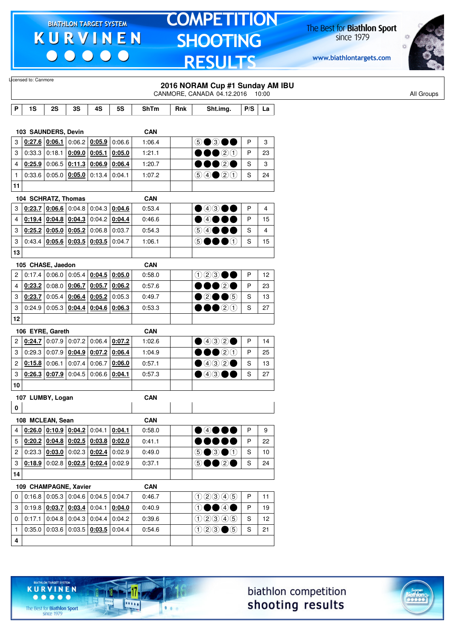$\begin{array}{c|c|c|c|c} \hline \bullet & \bullet & \bullet & \bullet & \bullet \end{array}$ 

# **TOMPETITION SHOOTING RESULTS**

The Best for **Biathlon Sport**<br>since 1979

www.biathlontargets.com



|                |        |                                                                                                     |        |                 |        |                      |     | 2016 NORAM Cup #1 Sunday AM IBU<br>CANMORE, CANADA 04.12.2016 10:00       |             |    |
|----------------|--------|-----------------------------------------------------------------------------------------------------|--------|-----------------|--------|----------------------|-----|---------------------------------------------------------------------------|-------------|----|
| P              | 1S     | 2S                                                                                                  | 3S     | 4S              | 5S     | <b>ShTm</b>          | Rnk | Sht.img.                                                                  | P/S         | La |
|                |        |                                                                                                     |        |                 |        |                      |     |                                                                           |             |    |
|                |        | 103 SAUNDERS, Devin                                                                                 |        |                 |        | <b>CAN</b>           |     |                                                                           |             |    |
| 3              |        | $\vert$ 0:27.6 $\vert$ 0:06.1 $\vert$ 0:06.2 $\vert$ 0:05.9                                         |        |                 | 0:06.6 | 1:06.4               |     | $\circledcirc$ $\bullet$                                                  | P           | 3  |
| 3              |        | $0:33.3$ 0:18.1 0:09.0                                                                              |        | 0:05.1          | 0:05.0 | 1:21.1               |     | $\bullet$ 20                                                              | P           | 23 |
| 4              |        | $0:25.9$ 0:06.5 0:11.3                                                                              |        | 0:06.9          | 0:06.4 | 1:20.7               |     | 1020                                                                      | S           | 3  |
| $\mathbf{1}$   |        | 0.33.6   0.05.0   0.05.0                                                                            |        | 0:13.4          | 0:04.1 | 1:07.2               |     | $\bigcirc \bigcirc \bigcirc \bigcirc \bigcirc \bigcirc \bigcirc \bigcirc$ | S           | 24 |
| 11             |        |                                                                                                     |        |                 |        |                      |     |                                                                           |             |    |
|                |        | 104 SCHRATZ, Thomas                                                                                 |        |                 |        | <b>CAN</b>           |     |                                                                           |             |    |
| 3              |        | $0.23.7$ 0.06.6 0.04.8 0.04.3                                                                       |        |                 | 0:04.6 | 0:53.4               |     | $\bigcirc$ 43                                                             | P           | 4  |
| 4              | 0:19.4 | $0.04.8$ 0.04.3                                                                                     |        | 0:04.2          | 0:04.4 | 0:46.6               |     | $\bullet$ 4 $\bullet$                                                     | P           | 15 |
| 3              |        | $0:25.2$ 0:05.0 0:05.2                                                                              |        | 0:06.8          | 0:03.7 | 0:54.3               |     | 5 4 ● ● ●                                                                 | S           | 4  |
| 3              |        | $0.43.4$ 0.05.6 0.03.5                                                                              |        | 0:03.5          | 0:04.7 | 1:06.1               |     | (5)<br>OOO                                                                | $\mathbf S$ | 15 |
| 13             |        |                                                                                                     |        |                 |        |                      |     |                                                                           |             |    |
|                |        |                                                                                                     |        |                 |        |                      |     |                                                                           |             |    |
|                |        | 105 CHASE, Jaedon                                                                                   |        |                 |        | <b>CAN</b>           |     |                                                                           |             |    |
| 2              |        | $0:17.4$ 0:06.0 0:05.4                                                                              |        | $0:04.5$ 0:05.0 |        | 0:58.0               |     | $\bigcirc$ 2                                                              | P           | 12 |
| 4              |        | 0:23.2 0:08.0 0:06.7                                                                                |        | 0:05.7          | 0:06.2 | 0:57.6               |     | 1020                                                                      | P           | 23 |
| 3              |        | $0:23.7$ 0:05.4 0:06.4                                                                              |        | 0:05.2          | 0:05.3 | 0:49.7               |     | ●②●●⑤                                                                     | S           | 13 |
| 3              |        | $0:24.9$ 0:05.3 0:04.4                                                                              |        | 0:04.6          | 0:06.3 | 0:53.3               |     | $\bullet\hspace{-4.4pt}\bullet\hspace{-4.4pt}$                            | S           | 27 |
| 12             |        |                                                                                                     |        |                 |        |                      |     |                                                                           |             |    |
|                |        | 106 EYRE, Gareth                                                                                    |        |                 |        | <b>CAN</b>           |     |                                                                           |             |    |
| 2              |        | $\vert$ 0:24.7 $\vert$ 0:07.9 $\vert$ 0:07.2 $\vert$ 0:06.4 $\vert$ 0:07.2                          |        |                 |        | 1:02.6               |     | $\bigcirc$ 432 $\bigcirc$                                                 | P           | 14 |
| 3              |        | $0:29.3$ 0:07.9 0:04.9                                                                              |        | 0:07.2          | 0:06.4 | 1:04.9               |     | 00020                                                                     | P           | 25 |
| $\overline{c}$ |        | 0:15.8 0:06.1                                                                                       | 0:07.4 | 0:06.7          | 0:06.0 | 0:57.1               |     | $\bullet$ 432 $\bullet$                                                   | S           | 13 |
| 3              |        | $0:26.3$ 0:07.9                                                                                     | 0:04.5 | 0:06.6          | 0:04.1 | 0:57.3               |     | $\bullet$ 43                                                              | S           | 27 |
| 10             |        |                                                                                                     |        |                 |        |                      |     |                                                                           |             |    |
|                |        | 107 LUMBY, Logan                                                                                    |        |                 |        | <b>CAN</b>           |     |                                                                           |             |    |
| 0              |        |                                                                                                     |        |                 |        |                      |     |                                                                           |             |    |
|                |        | 108 MCLEAN, Sean                                                                                    |        |                 |        |                      |     |                                                                           |             |    |
| 4              |        | $\vert$ <u>0:26.0 <math>\vert</math> 0:10.9 <math>\vert</math> 0:04.2 <math>\vert</math></u> 0:04.1 |        |                 |        | <b>CAN</b><br>0:58.0 |     |                                                                           | P           | 9  |
|                |        |                                                                                                     |        |                 | 0:04.1 |                      |     | ●④●●●                                                                     |             |    |
|                |        | $5   0:20.2   0:04.8   0:02.5   0:03.8   0:02.0$                                                    |        |                 |        | 0:41.1               |     |                                                                           | P           | 22 |
| $\overline{2}$ |        | $0:23.3$ $0:03.0$ 0:02.3 0:02.4                                                                     |        |                 | 0:02.9 | 0:49.0               |     | $\odot$ $\odot$ $\odot$ $\odot$                                           | S           | 10 |
| 3              |        | $0:18.9$ 0:02.8 0:02.5 0:02.4                                                                       |        |                 | 0:02.9 | 0:37.1               |     | 5●●2●                                                                     | S           | 24 |
| 14             |        |                                                                                                     |        |                 |        |                      |     |                                                                           |             |    |
|                |        | 109 CHAMPAGNE, Xavier                                                                               |        |                 |        | <b>CAN</b>           |     |                                                                           |             |    |
| $\mathbf{0}$   |        | $\vert 0.16.8 \vert 0.05.3 \vert 0.04.6 \vert 0.04.5 \vert$                                         |        |                 | 0:04.7 | 0:46.7               |     | (100000)                                                                  | P           | 11 |
| 3              |        | $0:19.8$ $0:03.7$ $0:03.4$ 0:04.1 0:04.0                                                            |        |                 |        | 0:40.9               |     | $\circledcirc\bullet\circledcirc\bullet$                                  | P           | 19 |
| $\mathbf 0$    | 0:17.1 | 0.04.8 0.04.3 0.04.4                                                                                |        |                 | 0:04.2 | 0:39.6               |     | 02345                                                                     | S           | 12 |
| $\mathbf{1}$   |        | $0.35.0$ 0.03.6 0.03.5 0.03.5 0.04.4                                                                |        |                 |        | 0:54.6               |     | $023 \bullet 5$                                                           | S           | 21 |
|                |        |                                                                                                     |        |                 |        |                      |     |                                                                           |             |    |

biathlon competition shooting results



The Best for **Biathlon Sport**<br>since 1979

TARGET SYSTEM

17

.....

 $1.1.1$ 

**KURVINEN**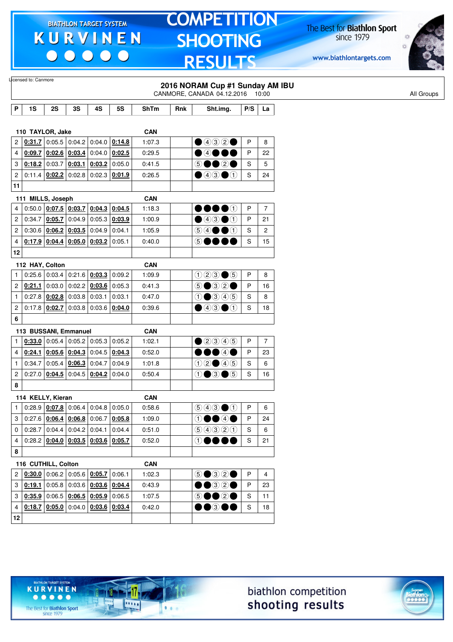$\begin{array}{c|c|c|c|c} \hline \bullet & \bullet & \bullet & \bullet & \bullet \end{array}$ 

# **TOMPETITION SHOOTING RESULTS**

The Best for **Biathlon Sport**<br>since 1979

www.biathlontargets.com



|                         | Licensed to: Canmore  |                                              |        |                        |        |             |     | 2016 NORAM Cup #1 Sunday AM IBU                                                                    |              |                |
|-------------------------|-----------------------|----------------------------------------------|--------|------------------------|--------|-------------|-----|----------------------------------------------------------------------------------------------------|--------------|----------------|
|                         |                       |                                              |        |                        |        |             |     | CANMORE, CANADA 04.12.2016 10:00                                                                   |              |                |
| P                       | 1S                    | 2S                                           | 3S     | 4S                     | 5S     | <b>ShTm</b> | Rnk | Sht.img.                                                                                           | P/S          | La             |
|                         |                       |                                              |        |                        |        |             |     |                                                                                                    |              |                |
|                         | 110 TAYLOR, Jake      |                                              |        |                        |        | <b>CAN</b>  |     |                                                                                                    |              |                |
| $\overline{c}$          | 0:31.7                | 0:05.5                                       | 0:04.2 | 0:04.0                 | 0:14.8 | 1:07.3      |     | $\bigcirc$ 432 $\bigcirc$                                                                          | P            | 8              |
| $\overline{4}$          | 0:09.7                | 0:02.6                                       | 0:03.4 | 0:04.0                 | 0:02.5 | 0:29.5      |     | $\bullet$ 4000                                                                                     | P            | 22             |
| 3                       |                       | $0.18.2$ 0:03.7 0:03.1                       |        | 0:03.2                 | 0:05.0 | 0:41.5      |     | 5●●2●                                                                                              | S            | 5              |
| 2                       |                       | $0:11.4$ 0:02.2                              |        | $0:02.8$ 0:02.3        | 0:01.9 | 0:26.5      |     | $\bigcirc$ 4300                                                                                    | S            | 24             |
| 11                      |                       |                                              |        |                        |        |             |     |                                                                                                    |              |                |
|                         | 111 MILLS, Joseph     |                                              |        |                        |        | <b>CAN</b>  |     |                                                                                                    |              |                |
| 4                       |                       | 0.50.0   0.07.5   0.03.7   0.04.3            |        |                        | 0:04.5 | 1:18.3      |     | $\bullet\bullet\bullet\circ$                                                                       | $\mathsf{P}$ | 7              |
| 2                       | 0:34.7                | 0:05.7                                       | 0:04.9 | 0:05.3                 | 0:03.9 | 1:00.9      |     | $\bigcirc$ 4300                                                                                    | P            | 21             |
| $\overline{c}$          |                       | 0:30.6   0:06.2                              | 0:03.5 | 0:04.9                 | 0:04.1 | 1:05.9      |     | $\circledcircled{\bullet} \bullet \bullet \circledcirc$                                            | S            | 2              |
| 4                       |                       | $0.17.9$ $0.04.4$ $0.05.0$ $0.03.2$          |        |                        | 0:05.1 | 0:40.0      |     | 50000                                                                                              | S            | 15             |
| 12                      |                       |                                              |        |                        |        |             |     |                                                                                                    |              |                |
|                         | 112 HAY, Colton       |                                              |        |                        |        | <b>CAN</b>  |     |                                                                                                    |              |                |
| 1                       |                       | $0:25.6$ 0:03.4                              |        | $0:21.6$ 0:03.3        | 0:09.2 | 1:09.9      |     | $023 \bullet 5$                                                                                    | P            | 8              |
| $\mathbf{2}^{\circ}$    | 0:21.1                | 0:03.0                                       |        | $0:02.2$ 0:03.6        | 0:05.3 | 0:41.3      |     | $\circledcirc$ $\circledcirc$ $\circ$                                                              | P            | 16             |
| $\mathbf{1}$            |                       | $0:27.8$ 0:02.8                              |        | $0:03.8$ 0:03.1        | 0:03.1 | 0:47.0      |     | $0$ $0$ $0$ $0$ $0$                                                                                | S            | 8              |
| $\overline{\mathbf{c}}$ |                       | $0:17.8$ 0:02.7                              | 0:03.8 | 0:03.6                 | 0:04.0 | 0:39.6      |     | ④④③①                                                                                               | S            | 18             |
| 6                       |                       |                                              |        |                        |        |             |     |                                                                                                    |              |                |
|                         | 113 BUSSANI, Emmanuel |                                              |        |                        |        | <b>CAN</b>  |     |                                                                                                    |              |                |
| 1                       | 0:33.0                | 0:05.4                                       |        | $0:05.2$ 0:05.3        | 0:05.2 | 1:02.1      |     | $\n  20046\n$                                                                                      | P            | $\overline{7}$ |
| 4                       | 0:24.1                | 0:05.6                                       | 0:04.3 | 0:04.5                 | 0:04.3 | 0:52.0      |     | $\bullet\bullet\textcircled{\tiny{4}}\bullet$                                                      | P            | 23             |
| $\mathbf{1}$            | 0:34.7                | 0:05.4                                       | 0:06.3 | 0:04.7                 | 0:04.9 | 1:01.8      |     | (1)2005                                                                                            | S            | 6              |
| $\overline{c}$          |                       | 0:27.0   0:04.5                              |        | $0:04.5$ 0:04.2        | 0:04.0 | 0:50.4      |     | $0 \bullet 3 \bullet 5$                                                                            | S            | 16             |
| 8                       |                       |                                              |        |                        |        |             |     |                                                                                                    |              |                |
|                         | 114 KELLY, Kieran     |                                              |        |                        |        | <b>CAN</b>  |     |                                                                                                    |              |                |
| 1                       |                       | $0.28.9$   0.07.8 0.06.4 0.04.8              |        |                        | 0:05.0 | 0:58.6      |     | $\bigcirc$ $\bigcirc$ $\bigcirc$ $\bigcirc$                                                        | P            | 6              |
| 3                       |                       | $0.27.6$   0.06.4   0.06.8   0.06.7   0.05.8 |        |                        |        | 1:09.0      |     | $\textcircled{\small{\texttt{1}}}\bullet\textcircled{\small{\texttt{2}}}\bullet$                   | P            | 24             |
| 0                       |                       | $0.28.7$ 0.04.4 0.04.2 0.04.1                |        |                        | 0:04.4 | 0:51.0      |     | 99900                                                                                              | S            | 6              |
| $\overline{4}$          |                       | $0.28.2$ $0.04.0$ $0.03.5$ $0.03.6$ $0.05.7$ |        |                        |        | 0:52.0      |     | $\oplus \bullet \bullet \bullet$                                                                   | S            | 21             |
| 8                       |                       |                                              |        |                        |        |             |     |                                                                                                    |              |                |
|                         | 116 CUTHILL, Colton   |                                              |        |                        |        | <b>CAN</b>  |     |                                                                                                    |              |                |
| $\overline{2}$          |                       | $0.30.0$ 0:06.2 0:05.6 0:05.7                |        |                        | 0:06.1 | 1:02.3      |     | $\circledcirc \bullet \circledcirc \circ \bullet$                                                  | $\mathsf{P}$ | $\overline{4}$ |
| 3                       | 0:19.1                |                                              |        | $0:05.8$ 0:03.6 0:03.6 | 0:04.4 | 0:43.9      |     | $\bullet\textcolor{red}{\bullet\circledcirc}\textcolor{red}{\circledcirc}\textcolor{red}{\bullet}$ | P            | 23             |
| 3                       |                       | $0.35.9$ 0:06.5 0:06.5 0:05.9                |        |                        | 0:06.5 | 1:07.5      |     | 50020                                                                                              | S            | 11             |
| 4                       |                       | $0.18.7$ $0.05.0$ 0.04.0 0.03.6 0.03.4       |        |                        |        | 0:42.0      |     | $\bullet\bullet$ 300                                                                               | S            | 18             |
| 12                      |                       |                                              |        |                        |        |             |     |                                                                                                    |              |                |
|                         |                       |                                              |        |                        |        |             |     |                                                                                                    |              |                |





 $• • • • •$ The Best for **Biathlon Sport**<br>since 1979

**KURVINEN** 

TARGET SYSTEM

-17

 $\overline{\cdots}$ 

 $1.1.1$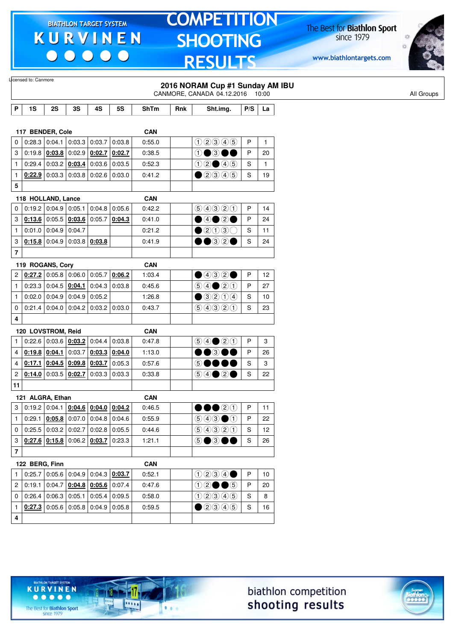$\begin{array}{c|c|c|c|c} \hline \bullet & \bullet & \bullet & \bullet & \bullet \end{array}$ 

# **TOMPETITION SHOOTING RESULTS**

The Best for **Biathlon Sport**<br>since 1979

www.biathlontargets.com



|                         | Licensed to: Canmore |                        |                                                                           |        |                 |             |     | 2016 NORAM Cup #1 Sunday AM IBU<br>CANMORE, CANADA 04.12.2016 10:00       |     |              |
|-------------------------|----------------------|------------------------|---------------------------------------------------------------------------|--------|-----------------|-------------|-----|---------------------------------------------------------------------------|-----|--------------|
| P                       | 1S                   | 2S                     | 3S                                                                        | 4S     | <b>5S</b>       | <b>ShTm</b> | Rnk | Sht.img.                                                                  | P/S | La           |
|                         |                      |                        |                                                                           |        |                 |             |     |                                                                           |     |              |
|                         | 117 BENDER, Cole     |                        |                                                                           |        |                 | <b>CAN</b>  |     |                                                                           |     |              |
| 0                       |                      | $0:28.3 \mid 0:04.1$   | 0:03.3                                                                    | 0:03.7 | 0:03.8          | 0.55.0      |     | (100000)                                                                  | P   | $\mathbf{1}$ |
| 3                       |                      |                        | $0.19.8$ $0.03.8$ 0.02.9                                                  | 0:02.7 | 0:02.7          | 0:38.5      |     | $\textcircled{\small{1}}$                                                 | P   | 20           |
| $\mathbf{1}$            |                      |                        | 0:29.4 0:03.2 0:03.4                                                      | 0:03.6 | 0:03.5          | 0:52.3      |     | $02 \bullet 45$                                                           | S   | $\mathbf{1}$ |
| 1                       |                      |                        | <b>0:22.9</b> $\vert$ 0:03.3 $\vert$ 0:03.8 $\vert$ 0:02.6 $\vert$ 0:03.0 |        |                 | 0:41.2      |     | $\bigcirc$ 2345                                                           | S   | 19           |
| 5                       |                      |                        |                                                                           |        |                 |             |     |                                                                           |     |              |
|                         | 118 HOLLAND, Lance   |                        |                                                                           |        |                 | <b>CAN</b>  |     |                                                                           |     |              |
| 0                       |                      |                        | 0.19.2   0.04.9   0.05.1                                                  | 0:04.8 | 0:05.6          | 0:42.2      |     | 9990                                                                      | P   | 14           |
| 3                       |                      |                        | $0.13.6$ 0:05.5 0:03.6                                                    | 0:05.7 | 0:04.3          | 0:41.0      |     | 04020                                                                     | P   | 24           |
| $\mathbf{1}$            |                      | $0:01.0$ 0:04.9 0:04.7 |                                                                           |        |                 | 0:21.2      |     | $\bullet$ 2030                                                            | S   | 11           |
| 3                       |                      |                        | $0.15.8$ 0:04.9 0:03.8 0:03.8                                             |        |                 | 0:41.9      |     | ••32•                                                                     | S   | 24           |
| $\overline{\mathbf{r}}$ |                      |                        |                                                                           |        |                 |             |     |                                                                           |     |              |
|                         | 119 ROGANS, Cory     |                        |                                                                           |        |                 | <b>CAN</b>  |     |                                                                           |     |              |
| 2                       |                      |                        | $0.27.2$ 0.05.8 0.06.0                                                    | 0:05.7 | 0:06.2          | 1:03.4      |     | $\bigcirc$ 432 $\bigcirc$                                                 | P   | 12           |
| $\mathbf{1}$            |                      |                        | $0:23.3$ 0:04.5 0:04.1                                                    |        | $0:04.3$ 0:03.8 | 0:45.6      |     | $\bigcirc \bigcirc \bigcirc \bigcirc \bigcirc \bigcirc \bigcirc \bigcirc$ | P   | 27           |
| $\mathbf{1}$            |                      |                        | $0.02.0$ 0.04.9 0.04.9                                                    | 0:05.2 |                 | 1:26.8      |     | $\bigcirc$ 3204                                                           | S   | 10           |
| 0                       |                      |                        | $0:21.4$ 0:04.0 0:04.2 0:03.2 0:03.0                                      |        |                 | 0:43.7      |     | 90300                                                                     | S   | 23           |
| 4                       |                      |                        |                                                                           |        |                 |             |     |                                                                           |     |              |
|                         | 120 LOVSTROM, Reid   |                        |                                                                           |        |                 | <b>CAN</b>  |     |                                                                           |     |              |
| $\mathbf{1}$            | 0:22.6               |                        | 0:03.6   0:03.2                                                           | 0:04.4 | 0:03.8          | 0:47.8      |     | $\bigcirc \bigcirc \bigcirc \bigcirc \bigcirc \bigcirc \bigcirc$          | P   | 3            |
| 4                       |                      | $0:19.8$ 0:04.1        | 0:03.7                                                                    | 0:03.3 | 0:04.0          | 1:13.0      |     | $\bullet$ $\circ$                                                         | P   | 26           |
| $\overline{4}$          | 0:17.1               |                        | $0.04.5$ 0.09.8                                                           | 0:03.7 | 0:05.3          | 0:57.6      |     | 5●●●                                                                      | S   | 3            |
| $\overline{c}$          |                      |                        | $0.14.0$ 0:03.5 0:02.7                                                    | 0:03.3 | 0:03.3          | 0:33.8      |     |                                                                           | S   | 22           |
| 11                      |                      |                        |                                                                           |        |                 |             |     |                                                                           |     |              |
|                         | 121 ALGRA, Ethan     |                        |                                                                           |        |                 | <b>CAN</b>  |     |                                                                           |     |              |
| 3                       |                      |                        | $0.19.2$ 0.04.1 0.04.6 0.04.0 0.04.2                                      |        |                 | 0:46.5      |     | $\bullet\bullet$ 20                                                       | P   | 11           |
| 1                       |                      |                        | $0.29.1 \mid 0.05.8 \mid 0.07.0 \mid 0.04.8 \mid 0.04.6$                  |        |                 | 0:55.9      |     | $\circledcirc \circledcirc \bullet \circledcirc$                          | P   | 22           |
| 0                       |                      |                        | $0.25.5$ 0.03.2 0.02.7 0.02.8 0.05.5                                      |        |                 | 0:44.6      |     | 99900                                                                     | S   | 12           |
| 3                       |                      |                        | $0.27.6$ $0.15.8$ 0.06.2 0.03.7 0.23.3                                    |        |                 | 1:21.1      |     | 5●3●●                                                                     | S   | 26           |
| $\overline{7}$          |                      |                        |                                                                           |        |                 |             |     |                                                                           |     |              |
|                         | 122 BERG, Finn       |                        |                                                                           |        |                 | <b>CAN</b>  |     |                                                                           |     |              |
|                         | 0:25.7               |                        | $\vert$ 0:05.6 $\vert$ 0:04.9 $\vert$ 0:04.3 $\vert$ <u>0:03.7</u>        |        |                 | 0:52.1      |     | 0234                                                                      | P   | 10           |
| 2                       |                      | $0:19.1$ 0:04.7        | $0.04.8$ 0.05.6 0.07.4                                                    |        |                 | 0:47.6      |     | $02 \bullet 6$                                                            | P   | 20           |
| 0                       |                      |                        | $0:26.4$ 0:06.3 0:05.1                                                    | 0:05.4 | 0:09.5          | 0.58.0      |     | 02345                                                                     | S   | 8            |
| $\mathbf{1}$            |                      |                        | $0.27.3$ 0:05.6 0:05.8 0:04.9 0:05.8                                      |        |                 | 0:59.5      |     | $\bigcirc$ 20045                                                          | S   | 16           |
|                         |                      |                        |                                                                           |        |                 |             |     |                                                                           |     |              |
| $\overline{\mathbf{4}}$ |                      |                        |                                                                           |        |                 |             |     |                                                                           |     |              |

biathlon competition shooting results



The Best for **Biathlon Sport**<br>since 1979

TARGET SYSTEM

17

 $\overline{\cdots}$ 

 $1.1.1$ 

**KURVINEN**